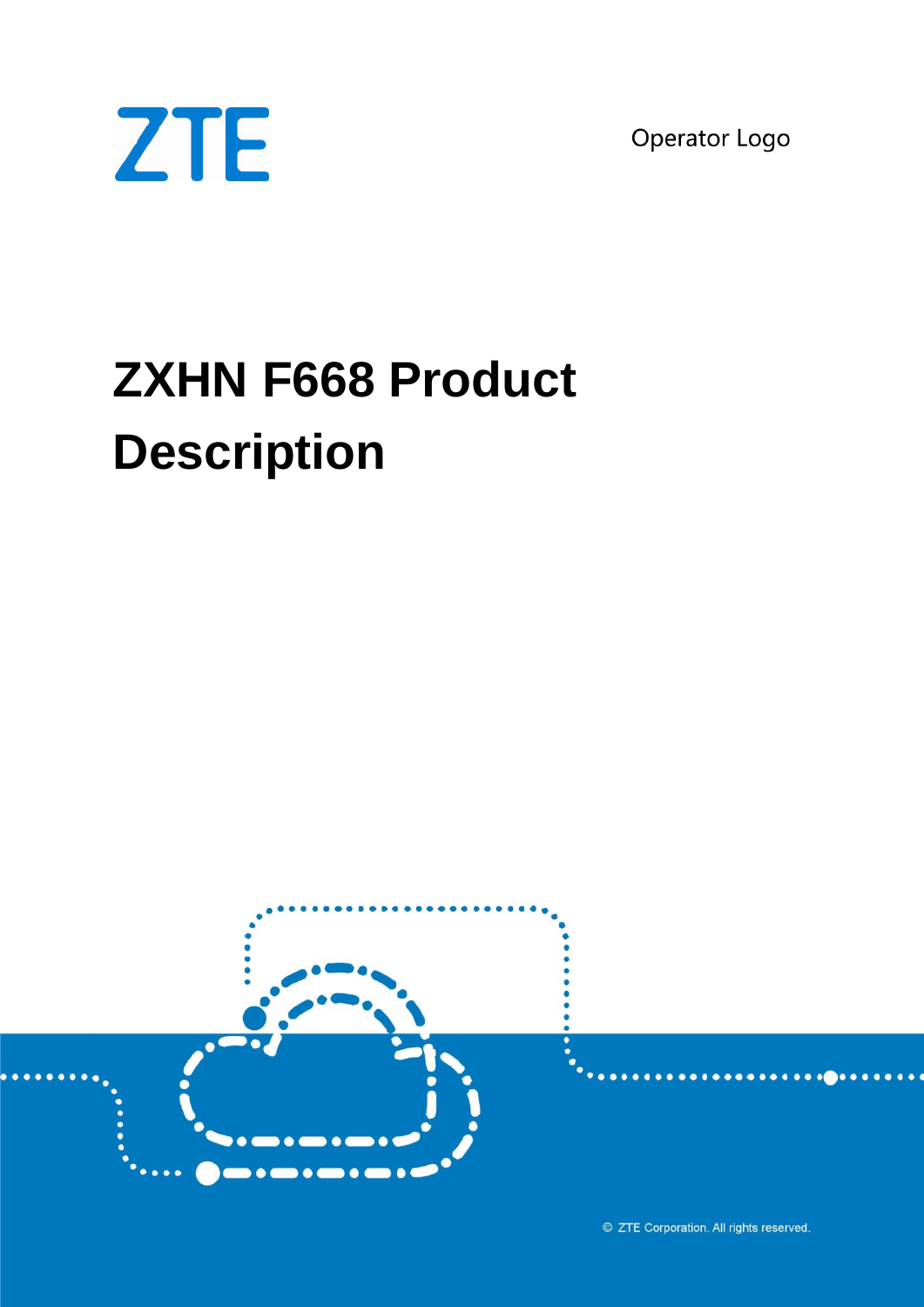Operator Logo



# **ZXHN F668 Product Description**



© ZTE Corporation. All rights reserved.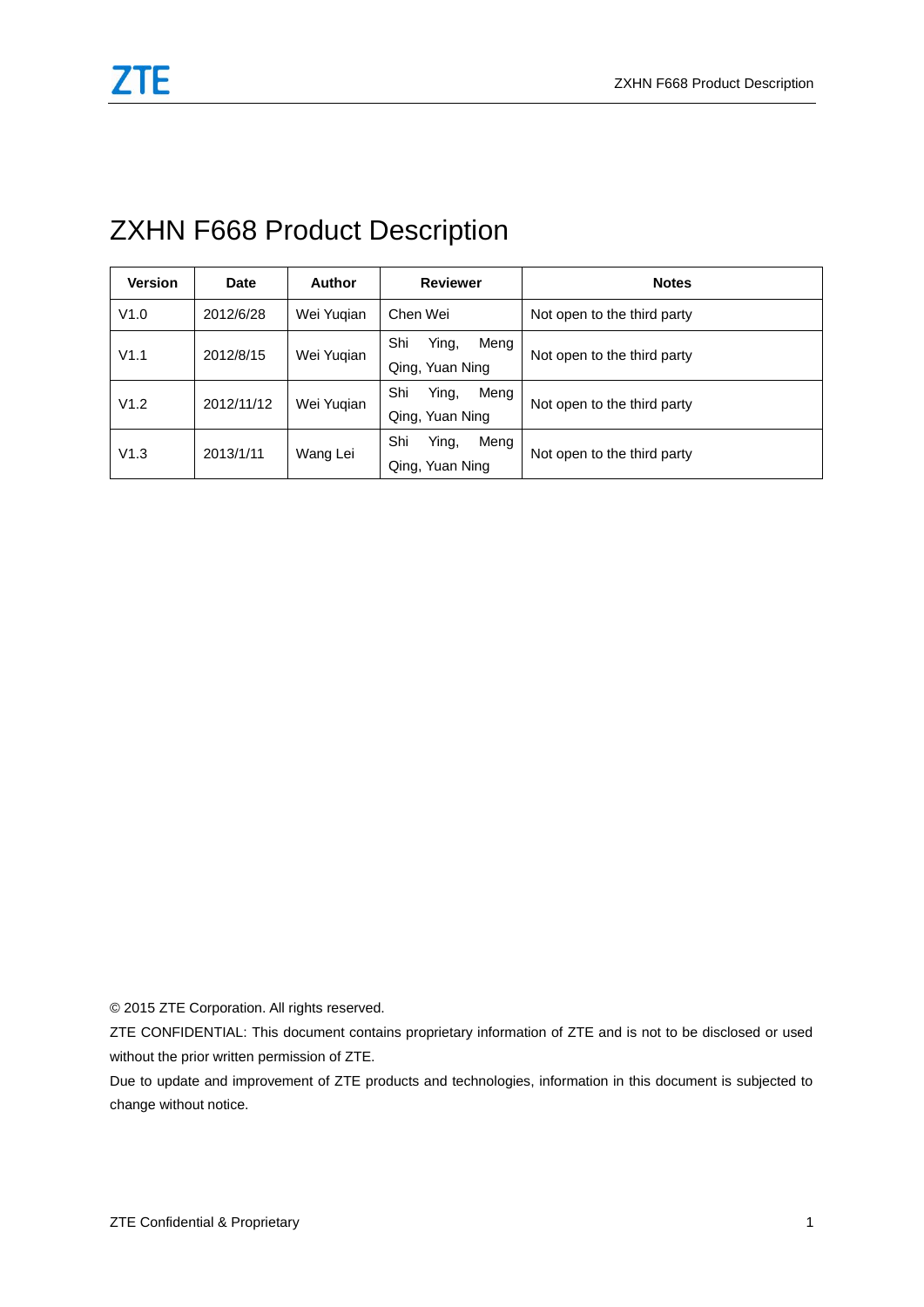## ZXHN F668 Product Description

| <b>Version</b> | Date       | <b>Author</b> | <b>Reviewer</b>                         | <b>Notes</b>                |
|----------------|------------|---------------|-----------------------------------------|-----------------------------|
| V1.0           | 2012/6/28  | Wei Yugian    | Chen Wei                                | Not open to the third party |
| V1.1           | 2012/8/15  | Wei Yugian    | Ying,<br>Shi<br>Meng<br>Qing, Yuan Ning | Not open to the third party |
| V1.2           | 2012/11/12 | Wei Yugian    | Shi<br>Ying,<br>Meng<br>Qing, Yuan Ning | Not open to the third party |
| V1.3           | 2013/1/11  | Wang Lei      | Shi<br>Ying,<br>Meng<br>Qing, Yuan Ning | Not open to the third party |

© 2015 ZTE Corporation. All rights reserved.

ZTE CONFIDENTIAL: This document contains proprietary information of ZTE and is not to be disclosed or used without the prior written permission of ZTE.

Due to update and improvement of ZTE products and technologies, information in this document is subjected to change without notice.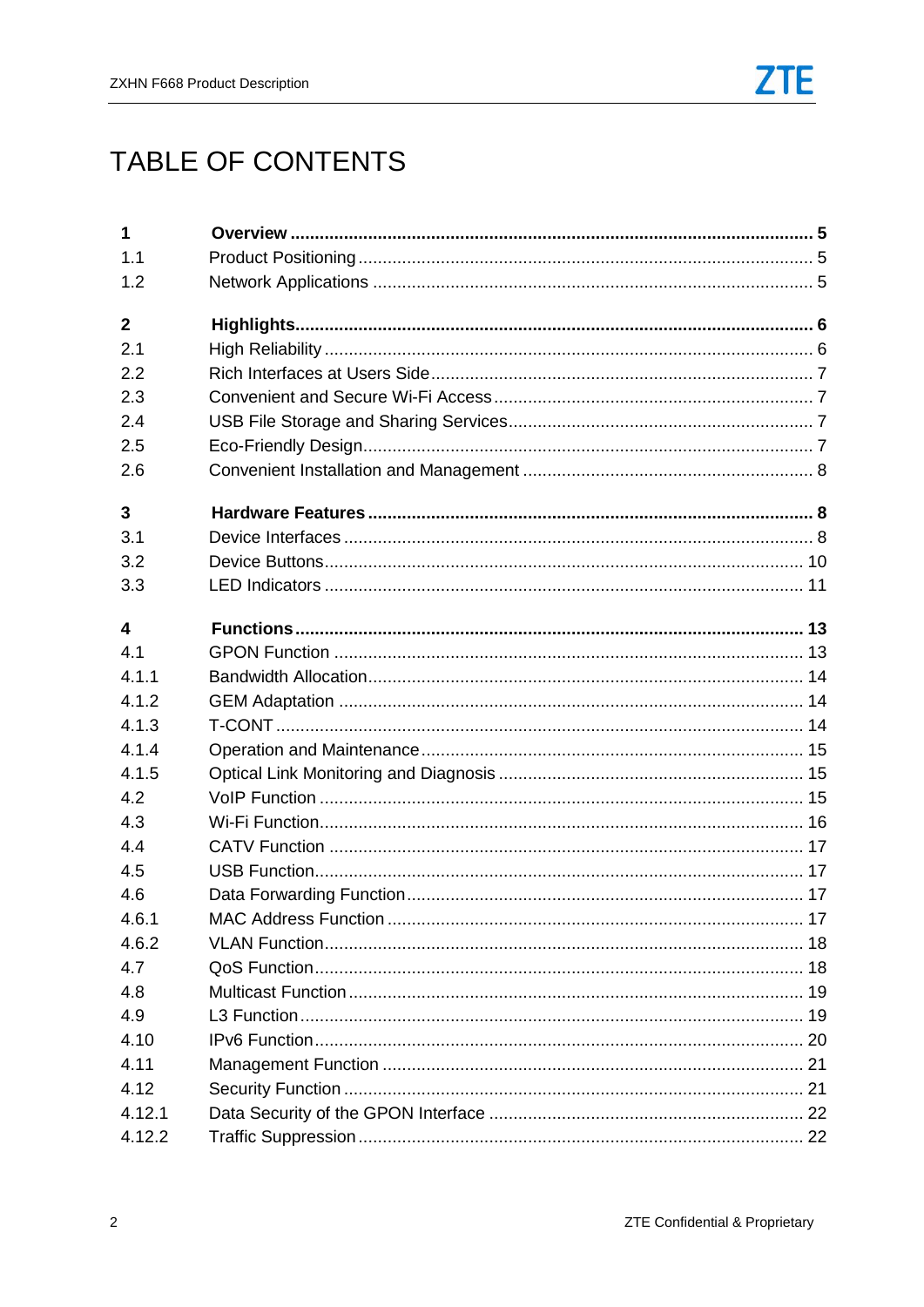# TABLE OF CONTENTS

| $\mathbf{1}$ |  |
|--------------|--|
| 1.1          |  |
| 1.2          |  |
| $\mathbf{2}$ |  |
| 2.1          |  |
| 2.2          |  |
| 2.3          |  |
| 2.4          |  |
| 2.5          |  |
| 2.6          |  |
| 3            |  |
| 3.1          |  |
| 3.2          |  |
| 3.3          |  |
| 4            |  |
| 4.1          |  |
| 4.1.1        |  |
| 4.1.2        |  |
| 4.1.3        |  |
| 4.1.4        |  |
| 4.1.5        |  |
| 4.2          |  |
| 4.3          |  |
| 4.4          |  |
| 4.5          |  |
| 4.6          |  |
| 4.6.1        |  |
| 4.6.2        |  |
| 4.7          |  |
| 4.8          |  |
| 4.9          |  |
| 4.10         |  |
| 4.11         |  |
| 4.12         |  |
| 4.12.1       |  |
| 4.12.2       |  |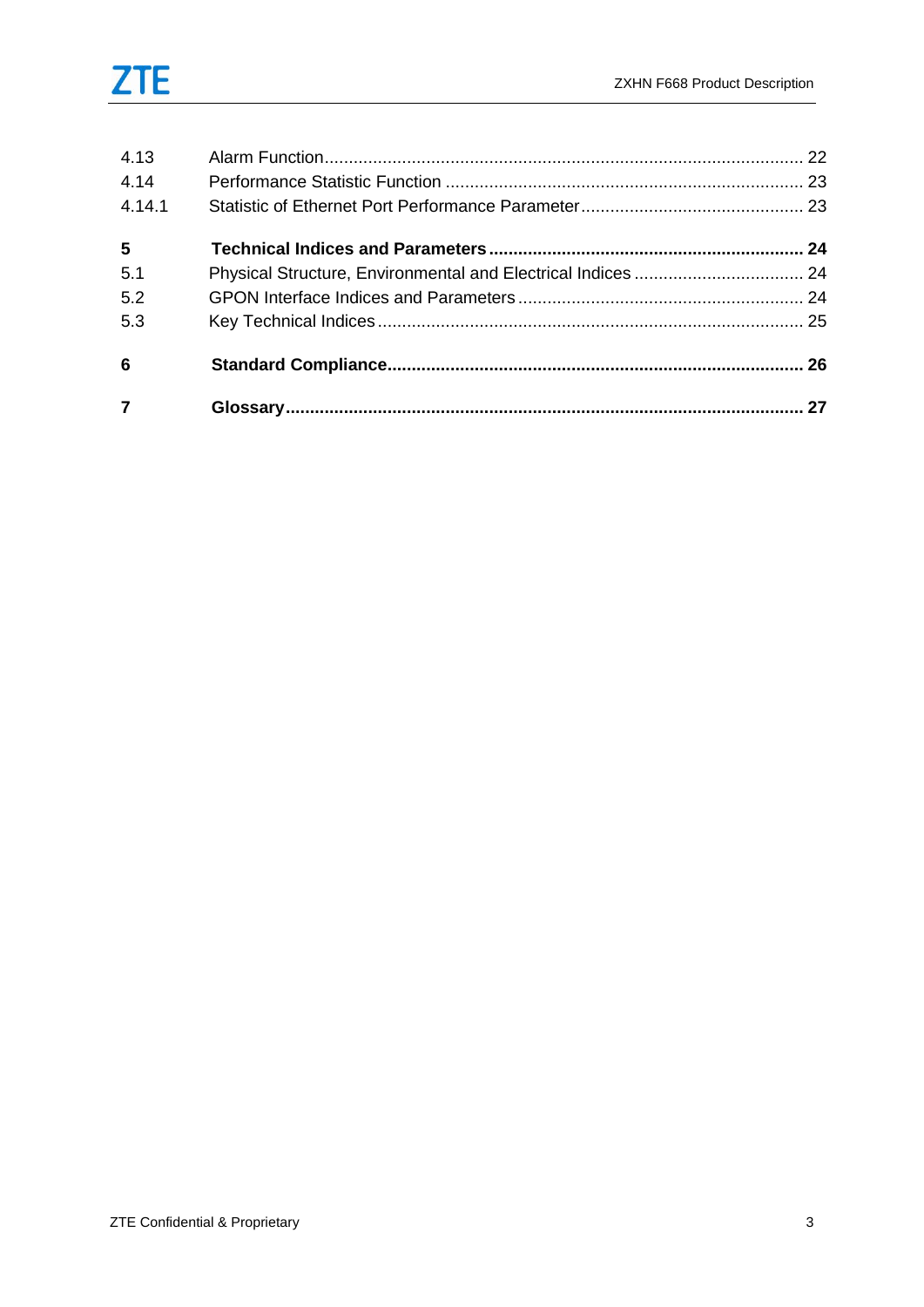| 4.13           |  |
|----------------|--|
| 4.14           |  |
| 4.14.1         |  |
| $5\phantom{1}$ |  |
| 5.1            |  |
| 5.2            |  |
| 5.3            |  |
| 6              |  |
|                |  |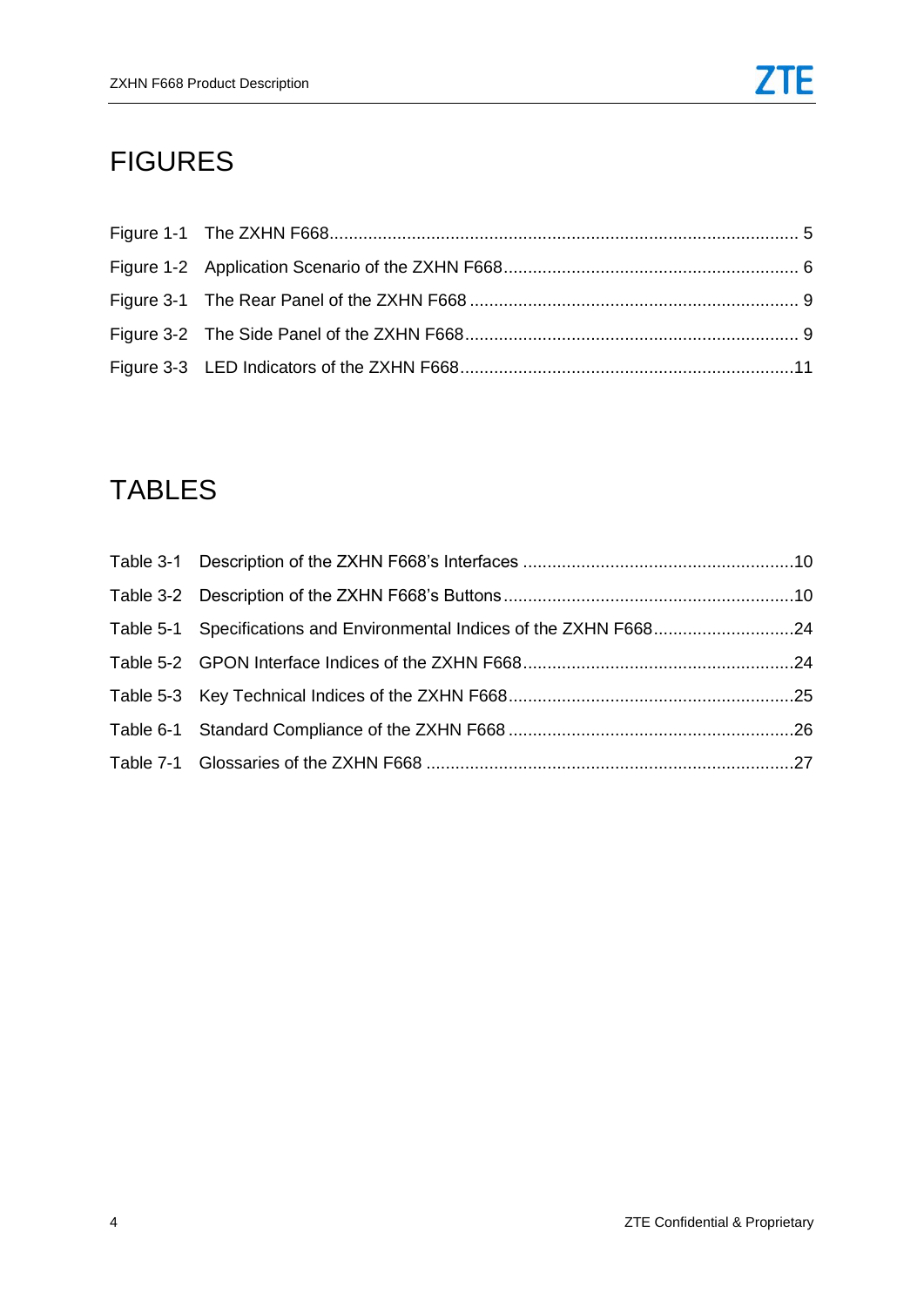# FIGURES

# TABLES

| Table 5-1 Specifications and Environmental Indices of the ZXHN F66824 |  |
|-----------------------------------------------------------------------|--|
|                                                                       |  |
|                                                                       |  |
|                                                                       |  |
|                                                                       |  |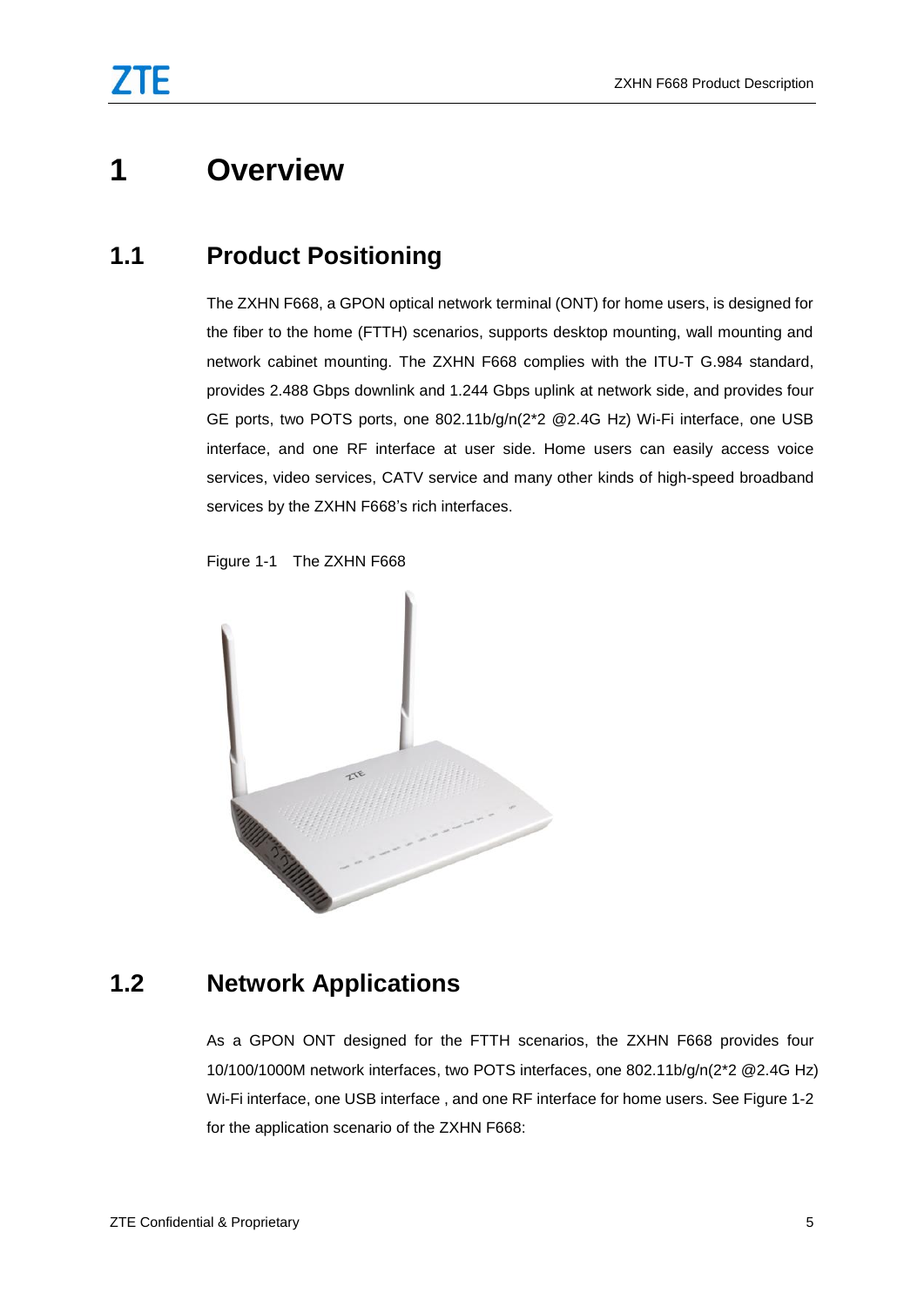# <span id="page-6-1"></span><span id="page-6-0"></span>**1 Overview**

#### **1.1 Product Positioning**

The ZXHN F668, a GPON optical network terminal (ONT) for home users, is designed for the fiber to the home (FTTH) scenarios, supports desktop mounting, wall mounting and network cabinet mounting. The ZXHN F668 complies with the ITU-T G.984 standard, provides 2.488 Gbps downlink and 1.244 Gbps uplink at network side, and provides four GE ports, two POTS ports, one 802.11b/g/n(2\*2 @2.4G Hz) Wi-Fi interface, one USB interface, and one RF interface at user side. Home users can easily access voice services, video services, CATV service and many other kinds of high-speed broadband services by the ZXHN F668's rich interfaces.



<span id="page-6-3"></span>Figure 1-1 The ZXHN F668

#### <span id="page-6-2"></span>**1.2 Network Applications**

As a GPON ONT designed for the FTTH scenarios, the ZXHN F668 provides four 10/100/1000M network interfaces, two POTS interfaces, one 802.11b/g/n(2\*2 @2.4G Hz) Wi-Fi interface, one USB interface , and one RF interface for home users. See Figure 1-2 for the application scenario of the ZXHN F668: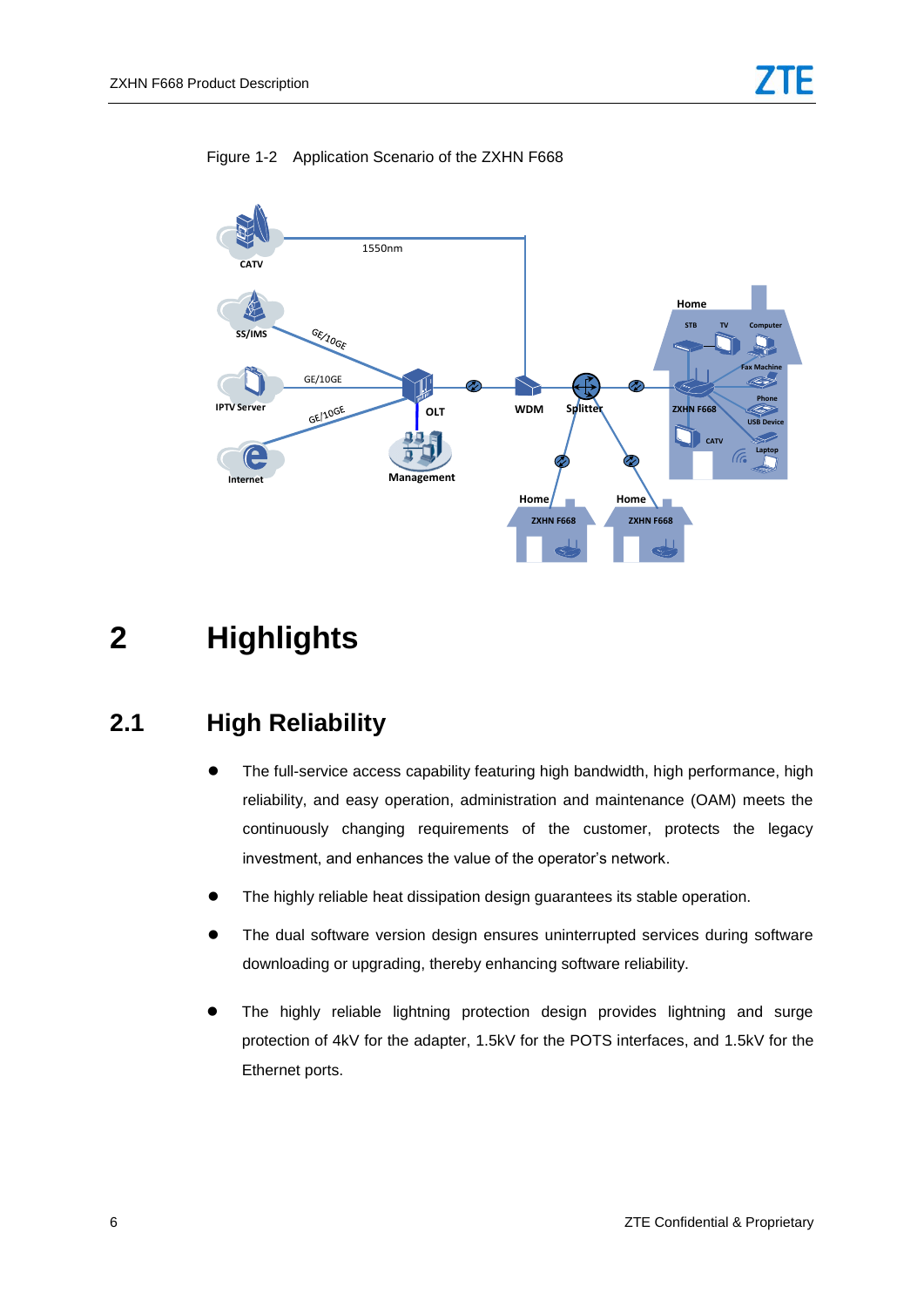<span id="page-7-2"></span>

#### Figure 1-2 Application Scenario of the ZXHN F668

# <span id="page-7-1"></span><span id="page-7-0"></span>**2 Highlights**

#### **2.1 High Reliability**

- The full-service access capability featuring high bandwidth, high performance, high reliability, and easy operation, administration and maintenance (OAM) meets the continuously changing requirements of the customer, protects the legacy investment, and enhances the value of the operator's network.
- The highly reliable heat dissipation design guarantees its stable operation.
- The dual software version design ensures uninterrupted services during software downloading or upgrading, thereby enhancing software reliability.
- The highly reliable lightning protection design provides lightning and surge protection of 4kV for the adapter, 1.5kV for the POTS interfaces, and 1.5kV for the Ethernet ports.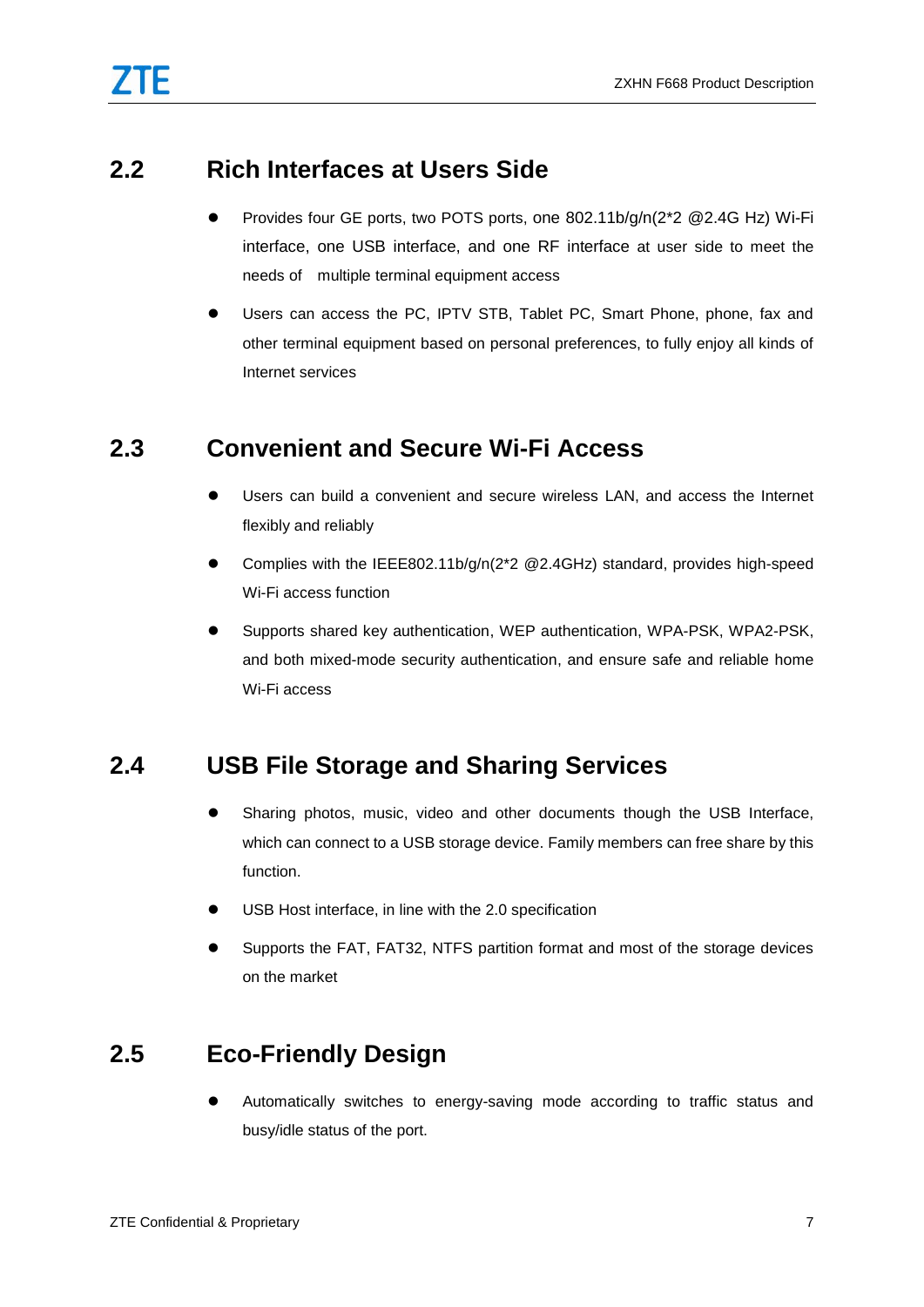#### <span id="page-8-0"></span>**2.2 Rich Interfaces at Users Side**

- Provides four GE ports, two POTS ports, one 802.11b/g/n(2\*2 @2.4G Hz) Wi-Fi interface, one USB interface, and one RF interface at user side to meet the needs of multiple terminal equipment access
- Users can access the PC, IPTV STB, Tablet PC, Smart Phone, phone, fax and other terminal equipment based on personal preferences, to fully enjoy all kinds of Internet services

#### <span id="page-8-1"></span>**2.3 Convenient and Secure Wi-Fi Access**

- Users can build a convenient and secure wireless LAN, and access the Internet flexibly and reliably
- Complies with the IEEE802.11b/g/n(2\*2 @2.4GHz) standard, provides high-speed Wi-Fi access function
- Supports shared key authentication, WEP authentication, WPA-PSK, WPA2-PSK, and both mixed-mode security authentication, and ensure safe and reliable home Wi-Fi access

### <span id="page-8-2"></span>**2.4 USB File Storage and Sharing Services**

- Sharing photos, music, video and other documents though the USB Interface, which can connect to a USB storage device. Family members can free share by this function.
- USB Host interface, in line with the 2.0 specification
- Supports the FAT, FAT32, NTFS partition format and most of the storage devices on the market

### <span id="page-8-3"></span>**2.5 Eco-Friendly Design**

 Automatically switches to energy-saving mode according to traffic status and busy/idle status of the port.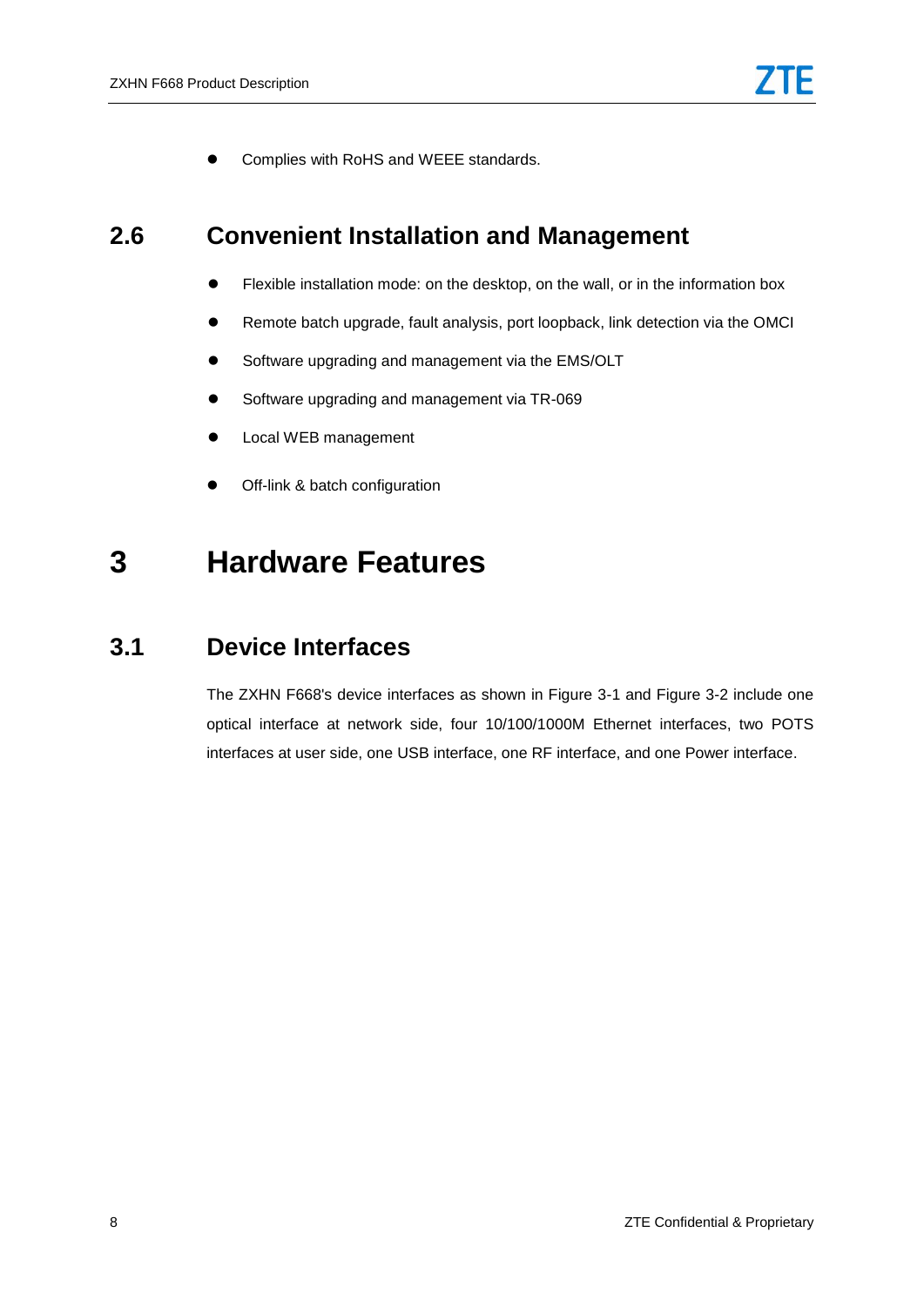Complies with RoHS and WEEE standards.

#### <span id="page-9-0"></span>**2.6 Convenient Installation and Management**

- Flexible installation mode: on the desktop, on the wall, or in the information box
- Remote batch upgrade, fault analysis, port loopback, link detection via the OMCI
- Software upgrading and management via the EMS/OLT
- Software upgrading and management via TR-069
- **•** Local WEB management
- Off-link & batch configuration

## <span id="page-9-2"></span><span id="page-9-1"></span>**3 Hardware Features**

#### **3.1 Device Interfaces**

The ZXHN F668's device interfaces as shown in Figure 3-1 and Figure 3-2 include one optical interface at network side, four 10/100/1000M Ethernet interfaces, two POTS interfaces at user side, one USB interface, one RF interface, and one Power interface.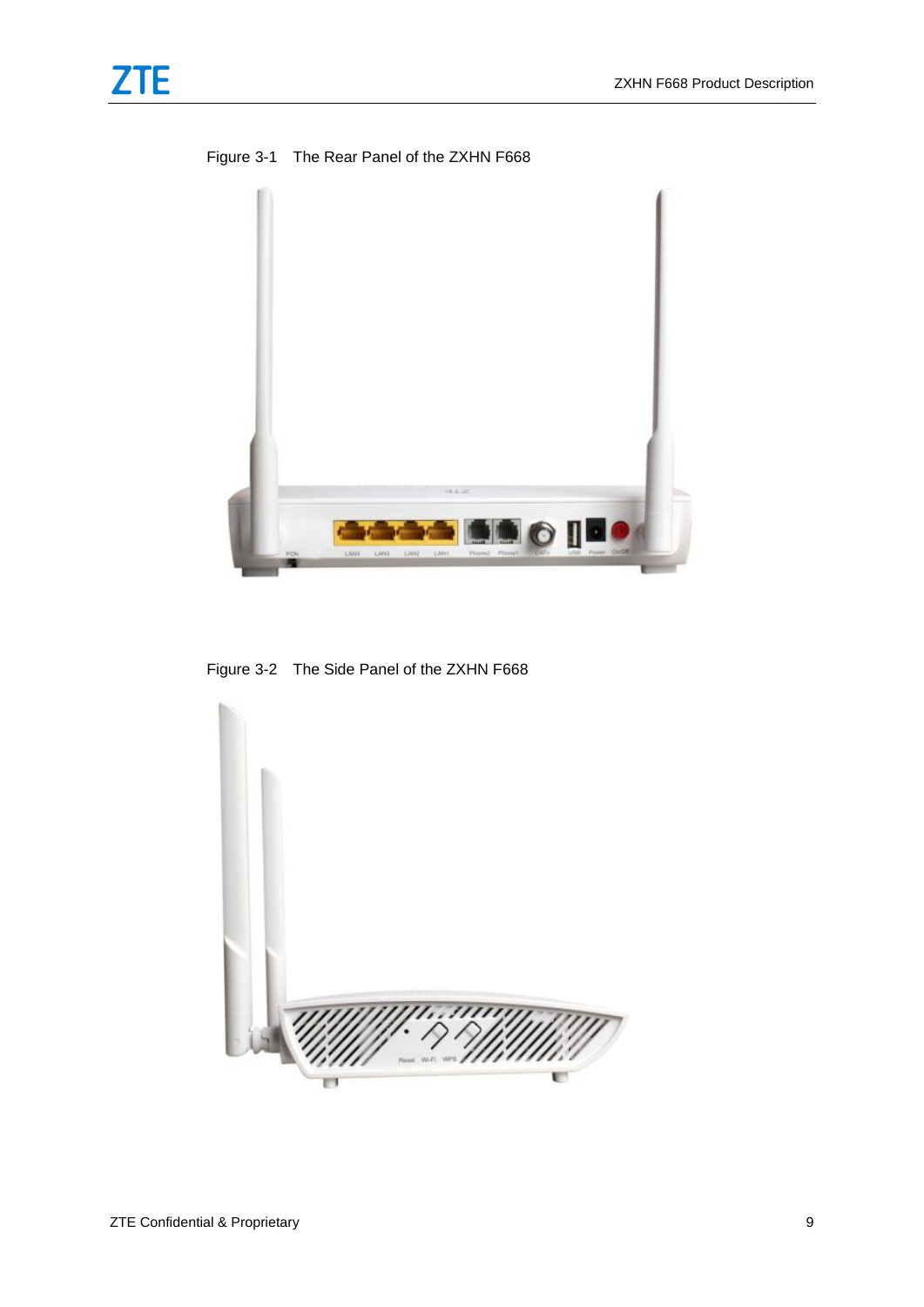<span id="page-10-0"></span>

Figure 3-1 The Rear Panel of the ZXHN F668



Figure 3-2 The Side Panel of the ZXHN F668

<span id="page-10-1"></span>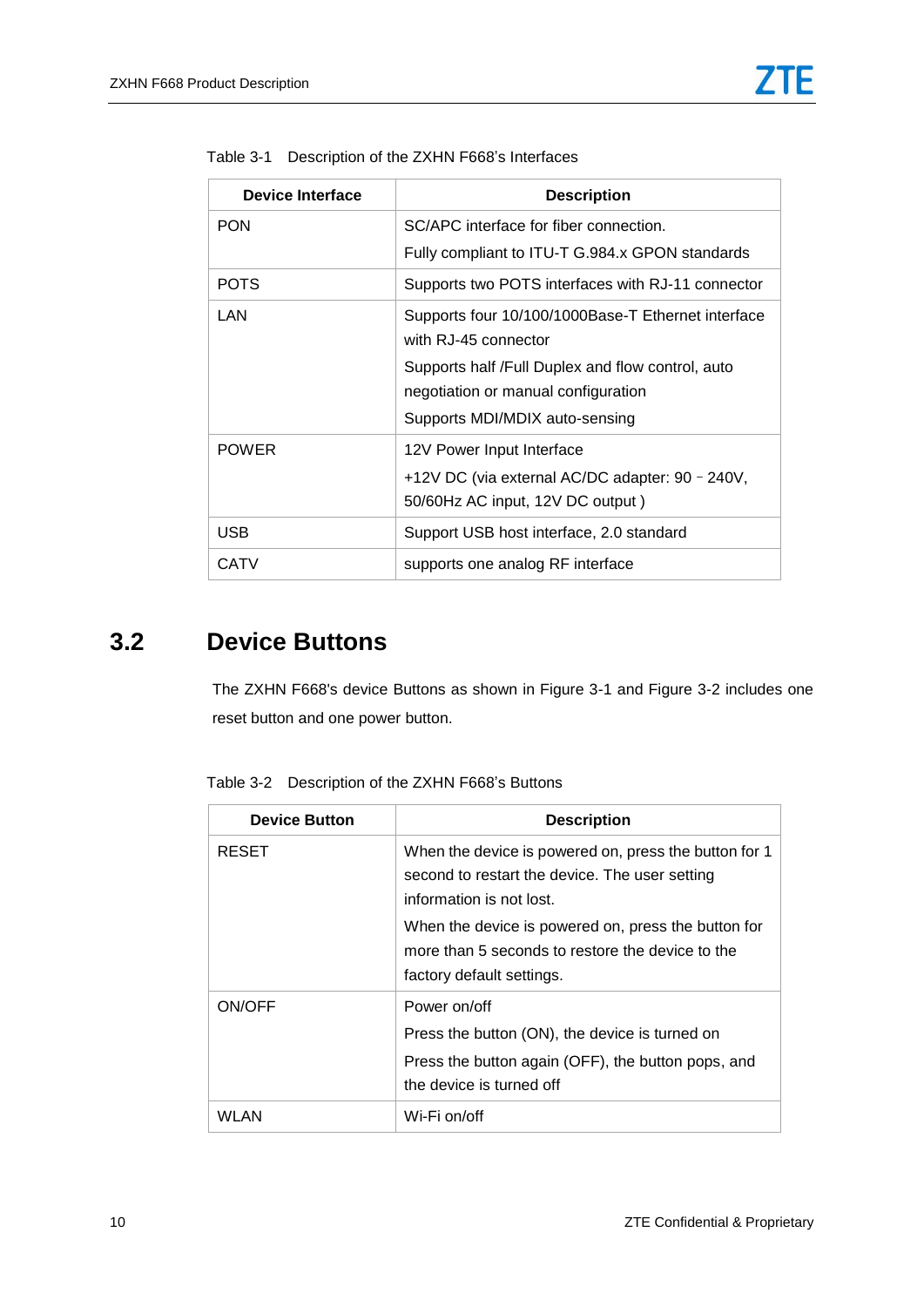| Device Interface | <b>Description</b>                                                         |
|------------------|----------------------------------------------------------------------------|
| <b>PON</b>       | SC/APC interface for fiber connection.                                     |
|                  | Fully compliant to ITU-T G.984.x GPON standards                            |
| <b>POTS</b>      | Supports two POTS interfaces with RJ-11 connector                          |
| LAN              | Supports four 10/100/1000Base-T Ethernet interface<br>with RJ-45 connector |
|                  | Supports half /Full Duplex and flow control, auto                          |
|                  | negotiation or manual configuration                                        |
|                  | Supports MDI/MDIX auto-sensing                                             |
| <b>POWER</b>     | 12V Power Input Interface                                                  |
|                  | +12V DC (via external AC/DC adapter: 90 - 240V,                            |
|                  | 50/60Hz AC input, 12V DC output)                                           |
| <b>USB</b>       | Support USB host interface, 2.0 standard                                   |
| <b>CATV</b>      | supports one analog RF interface                                           |

<span id="page-11-1"></span>

|  | Table 3-1 Description of the ZXHN F668's Interfaces |  |
|--|-----------------------------------------------------|--|
|  |                                                     |  |

#### <span id="page-11-2"></span><span id="page-11-0"></span>**3.2 Device Buttons**

The ZXHN F668's device Buttons as shown in Figure 3-1 and Figure 3-2 includes one reset button and one power button.

| <b>Device Button</b> | <b>Description</b>                                                                                                                                                                                                                                                          |
|----------------------|-----------------------------------------------------------------------------------------------------------------------------------------------------------------------------------------------------------------------------------------------------------------------------|
| <b>RESET</b>         | When the device is powered on, press the button for 1<br>second to restart the device. The user setting<br>information is not lost.<br>When the device is powered on, press the button for<br>more than 5 seconds to restore the device to the<br>factory default settings. |
| ON/OFF               | Power on/off<br>Press the button (ON), the device is turned on<br>Press the button again (OFF), the button pops, and<br>the device is turned off                                                                                                                            |
| WI AN                | Wi-Fi on/off                                                                                                                                                                                                                                                                |

Table 3-2 Description of the ZXHN F668's Buttons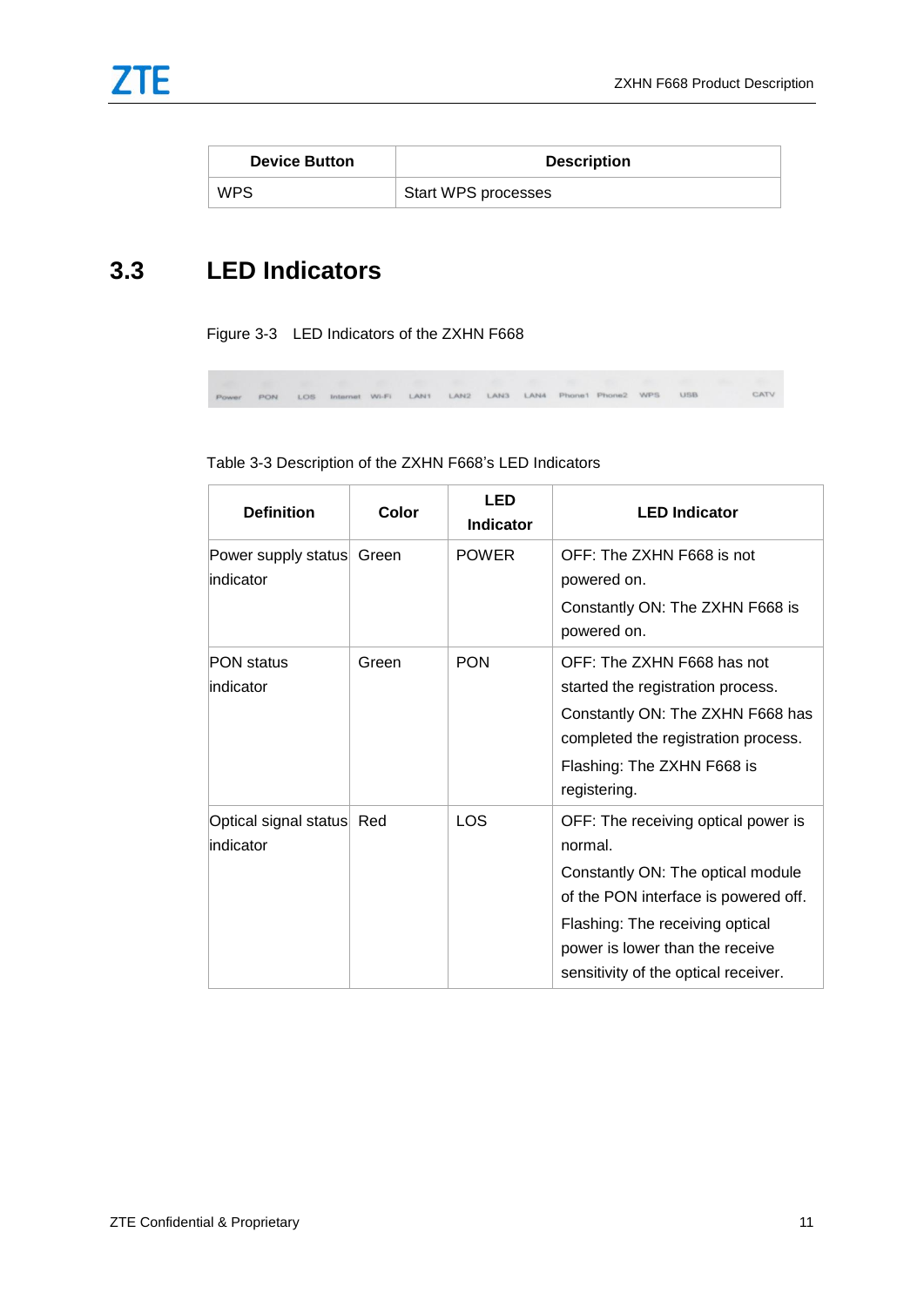| <b>Device Button</b> | <b>Description</b>  |
|----------------------|---------------------|
| <b>WPS</b>           | Start WPS processes |

### <span id="page-12-1"></span><span id="page-12-0"></span>**3.3 LED Indicators**

Figure 3-3 LED Indicators of the ZXHN F668

PON LOS Internet Wi-Fi LAN1 LAN2 LAN3 LAN4 Phone1 Phone2 WPS USB CATV

| Table 3-3 Description of the ZXHN F668's LED Indicators |  |  |
|---------------------------------------------------------|--|--|
|                                                         |  |  |

| <b>Definition</b>                      | Color | <b>LED</b><br><b>Indicator</b> | <b>LED Indicator</b>                                                                                                                                                                                                                      |
|----------------------------------------|-------|--------------------------------|-------------------------------------------------------------------------------------------------------------------------------------------------------------------------------------------------------------------------------------------|
| Power supply status Green<br>indicator |       | <b>POWER</b>                   | OFF: The ZXHN F668 is not<br>powered on.<br>Constantly ON: The ZXHN F668 is<br>powered on.                                                                                                                                                |
| <b>PON status</b><br>indicator         | Green | <b>PON</b>                     | OFF: The ZXHN F668 has not<br>started the registration process.<br>Constantly ON: The ZXHN F668 has<br>completed the registration process.<br>Flashing: The ZXHN F668 is<br>registering.                                                  |
| Optical signal status Red<br>indicator |       | <b>LOS</b>                     | OFF: The receiving optical power is<br>normal.<br>Constantly ON: The optical module<br>of the PON interface is powered off.<br>Flashing: The receiving optical<br>power is lower than the receive<br>sensitivity of the optical receiver. |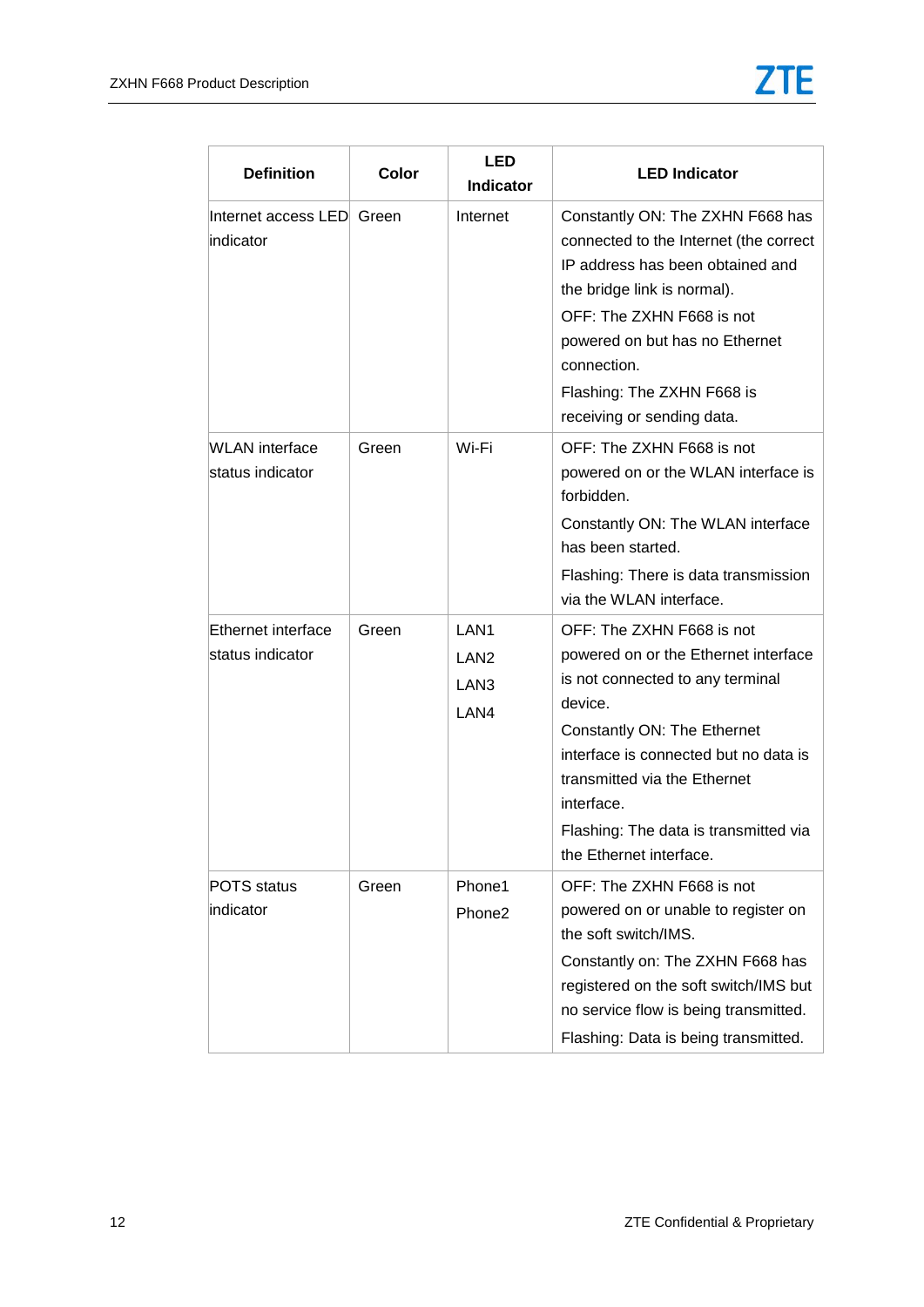| <b>Definition</b>                         | Color | <b>LED</b><br><b>Indicator</b>                                   | <b>LED Indicator</b>                                                                                                                                                                                                                                                                                       |
|-------------------------------------------|-------|------------------------------------------------------------------|------------------------------------------------------------------------------------------------------------------------------------------------------------------------------------------------------------------------------------------------------------------------------------------------------------|
| Internet access LED Green<br>indicator    |       | Internet                                                         | Constantly ON: The ZXHN F668 has<br>connected to the Internet (the correct<br>IP address has been obtained and<br>the bridge link is normal).<br>OFF: The ZXHN F668 is not<br>powered on but has no Ethernet<br>connection.<br>Flashing: The ZXHN F668 is<br>receiving or sending data.                    |
| <b>WLAN</b> interface<br>status indicator | Green | Wi-Fi                                                            | OFF: The ZXHN F668 is not<br>powered on or the WLAN interface is<br>forbidden.<br>Constantly ON: The WLAN interface<br>has been started.<br>Flashing: There is data transmission<br>via the WLAN interface.                                                                                                |
| Ethernet interface<br>status indicator    | Green | LAN <sub>1</sub><br>LAN <sub>2</sub><br>LAN <sub>3</sub><br>LAN4 | OFF: The ZXHN F668 is not<br>powered on or the Ethernet interface<br>is not connected to any terminal<br>device.<br>Constantly ON: The Ethernet<br>interface is connected but no data is<br>transmitted via the Ethernet<br>interface.<br>Flashing: The data is transmitted via<br>the Ethernet interface. |
| POTS status<br>indicator                  | Green | Phone1<br>Phone2                                                 | OFF: The ZXHN F668 is not<br>powered on or unable to register on<br>the soft switch/IMS.<br>Constantly on: The ZXHN F668 has<br>registered on the soft switch/IMS but<br>no service flow is being transmitted.<br>Flashing: Data is being transmitted.                                                     |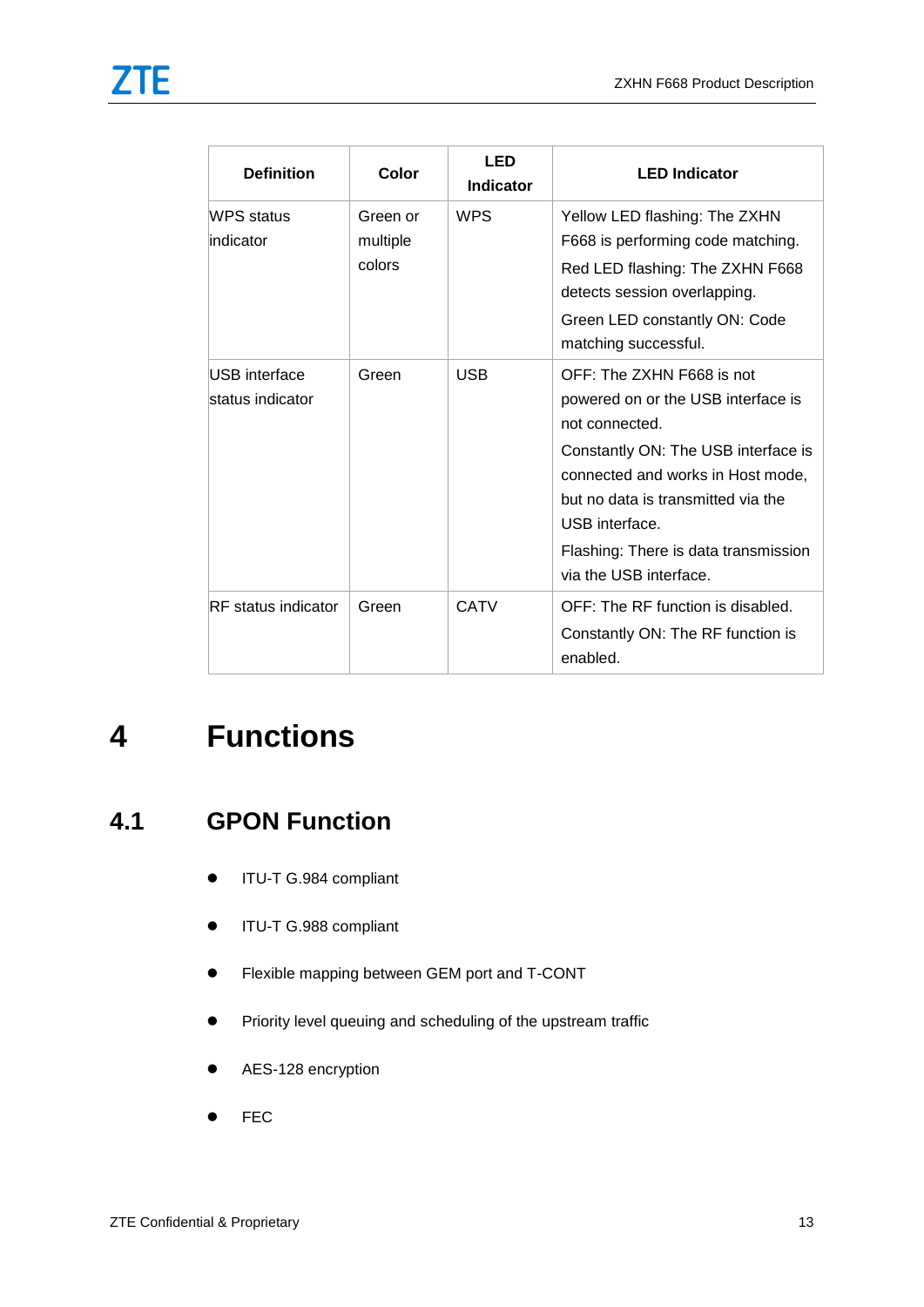| <b>Definition</b>                 | Color                          | <b>LED</b><br><b>Indicator</b> | <b>LED Indicator</b>                                                                                                                                                                                                                                                                    |
|-----------------------------------|--------------------------------|--------------------------------|-----------------------------------------------------------------------------------------------------------------------------------------------------------------------------------------------------------------------------------------------------------------------------------------|
| WPS status<br>indicator           | Green or<br>multiple<br>colors | <b>WPS</b>                     | Yellow LED flashing: The ZXHN<br>F668 is performing code matching.<br>Red LED flashing: The ZXHN F668<br>detects session overlapping.<br>Green LED constantly ON: Code<br>matching successful.                                                                                          |
| USB interface<br>status indicator | Green                          | <b>USB</b>                     | OFF: The ZXHN F668 is not<br>powered on or the USB interface is<br>not connected.<br>Constantly ON: The USB interface is<br>connected and works in Host mode,<br>but no data is transmitted via the<br>USB interface.<br>Flashing: There is data transmission<br>via the USB interface. |
| <b>RF</b> status indicator        | Green                          | <b>CATV</b>                    | OFF: The RF function is disabled.<br>Constantly ON: The RF function is<br>enabled.                                                                                                                                                                                                      |

# <span id="page-14-1"></span><span id="page-14-0"></span>**4 Functions**

### **4.1 GPON Function**

- **ITU-T G.984 compliant**
- ITU-T G.988 compliant
- Flexible mapping between GEM port and T-CONT
- **•** Priority level queuing and scheduling of the upstream traffic
- AES-128 encryption
- $\bullet$  FEC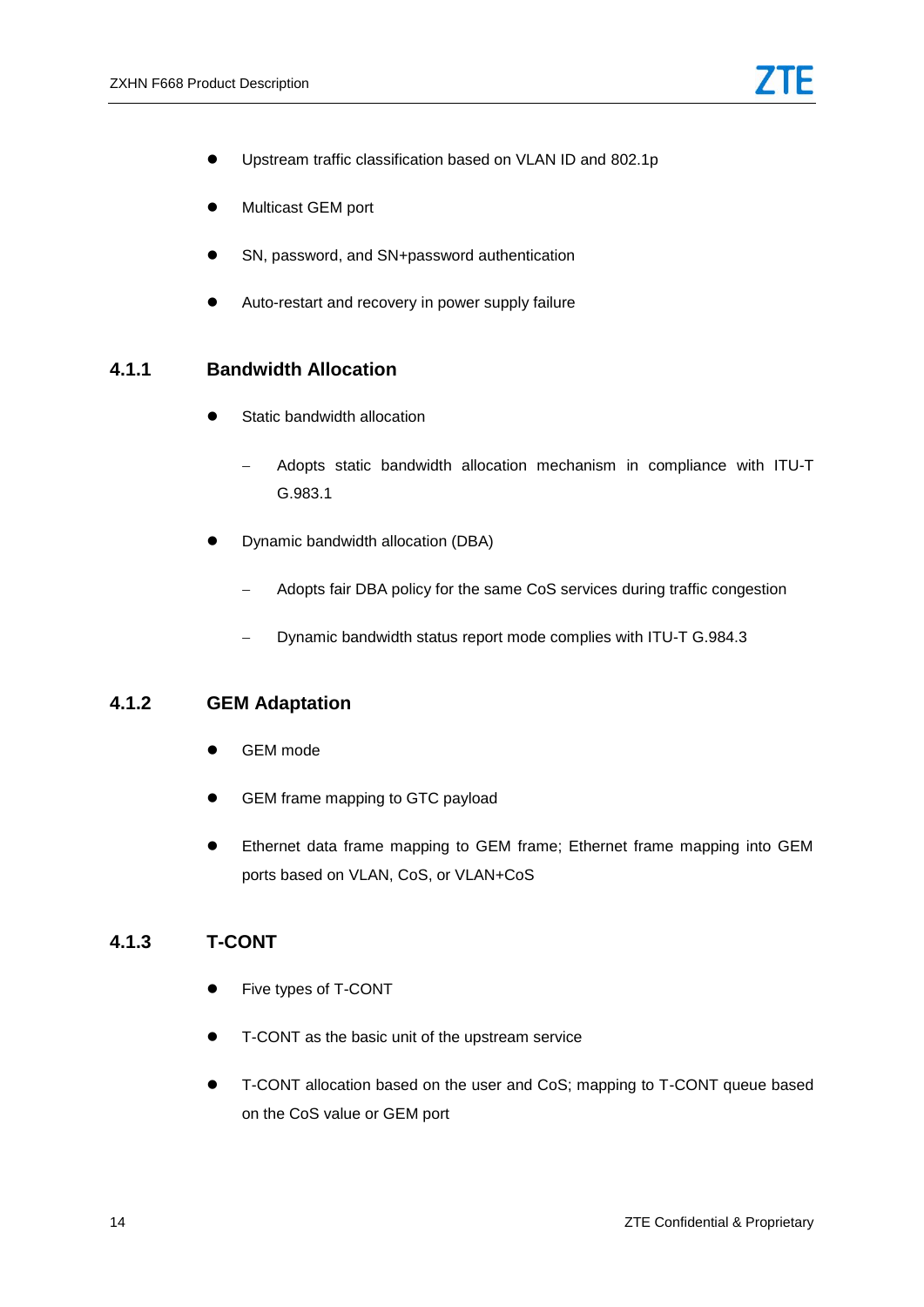- Upstream traffic classification based on VLAN ID and 802.1p
- **•** Multicast GEM port
- SN, password, and SN+password authentication
- Auto-restart and recovery in power supply failure

#### <span id="page-15-0"></span>**4.1.1 Bandwidth Allocation**

- Static bandwidth allocation
	- Adopts static bandwidth allocation mechanism in compliance with ITU-T G.983.1
- Dynamic bandwidth allocation (DBA)
	- Adopts fair DBA policy for the same CoS services during traffic congestion
	- Dynamic bandwidth status report mode complies with ITU-T G.984.3

#### <span id="page-15-1"></span>**4.1.2 GEM Adaptation**

- GEM mode
- GEM frame mapping to GTC payload
- Ethernet data frame mapping to GEM frame; Ethernet frame mapping into GEM ports based on VLAN, CoS, or VLAN+CoS

#### <span id="page-15-2"></span>**4.1.3 T-CONT**

- Five types of T-CONT
- T-CONT as the basic unit of the upstream service
- T-CONT allocation based on the user and CoS; mapping to T-CONT queue based on the CoS value or GEM port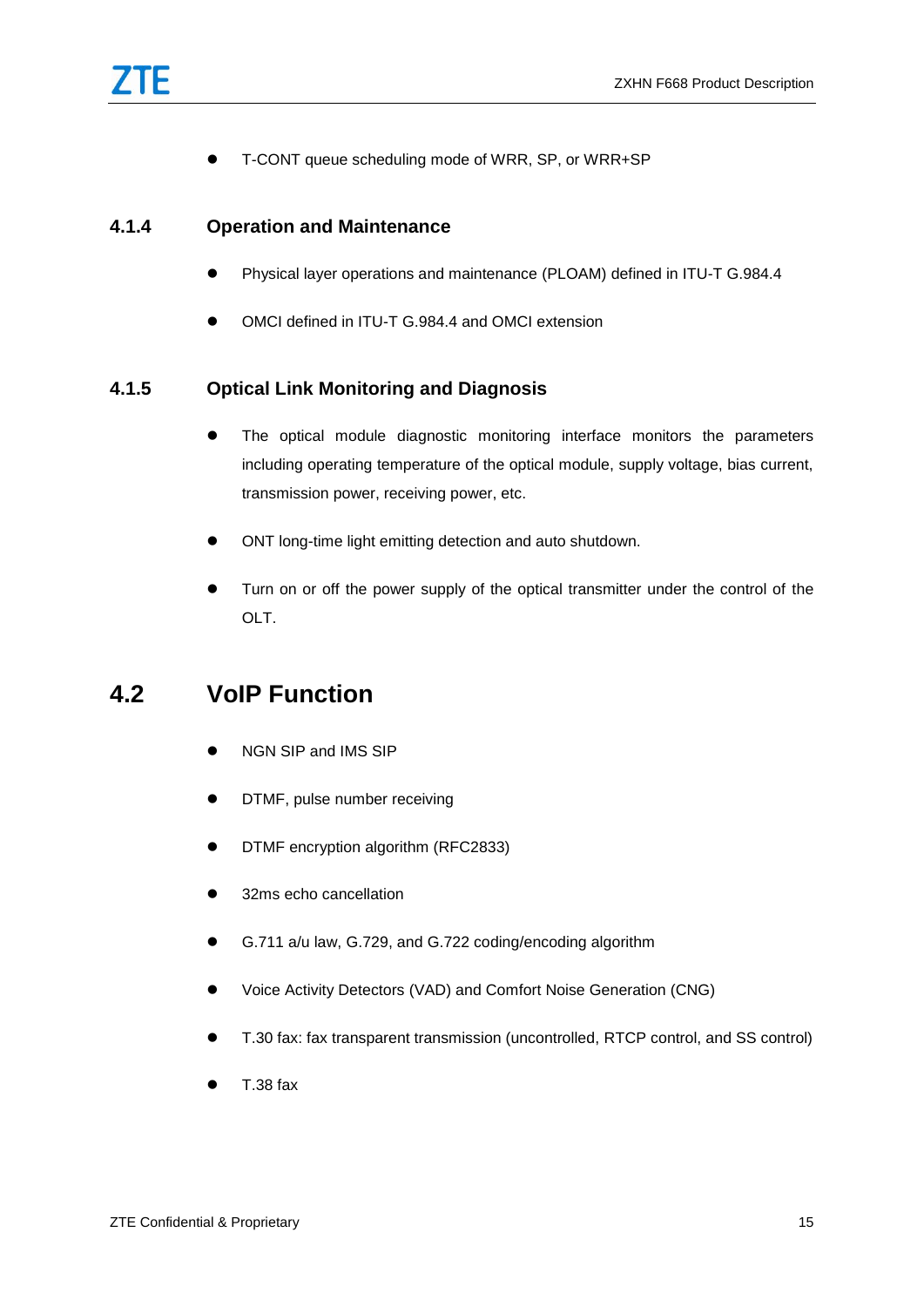T-CONT queue scheduling mode of WRR, SP, or WRR+SP

#### <span id="page-16-0"></span>**4.1.4 Operation and Maintenance**

- Physical layer operations and maintenance (PLOAM) defined in ITU-T G.984.4
- OMCI defined in ITU-T G.984.4 and OMCI extension

#### <span id="page-16-1"></span>**4.1.5 Optical Link Monitoring and Diagnosis**

- The optical module diagnostic monitoring interface monitors the parameters including operating temperature of the optical module, supply voltage, bias current, transmission power, receiving power, etc.
- ONT long-time light emitting detection and auto shutdown.
- Turn on or off the power supply of the optical transmitter under the control of the OLT.

### <span id="page-16-2"></span>**4.2 VoIP Function**

- NGN SIP and IMS SIP
- **•** DTMF, pulse number receiving
- **•** DTMF encryption algorithm (RFC2833)
- 32ms echo cancellation
- G.711 a/u law, G.729, and G.722 coding/encoding algorithm
- Voice Activity Detectors (VAD) and Comfort Noise Generation (CNG)
- T.30 fax: fax transparent transmission (uncontrolled, RTCP control, and SS control)
- T.38 fax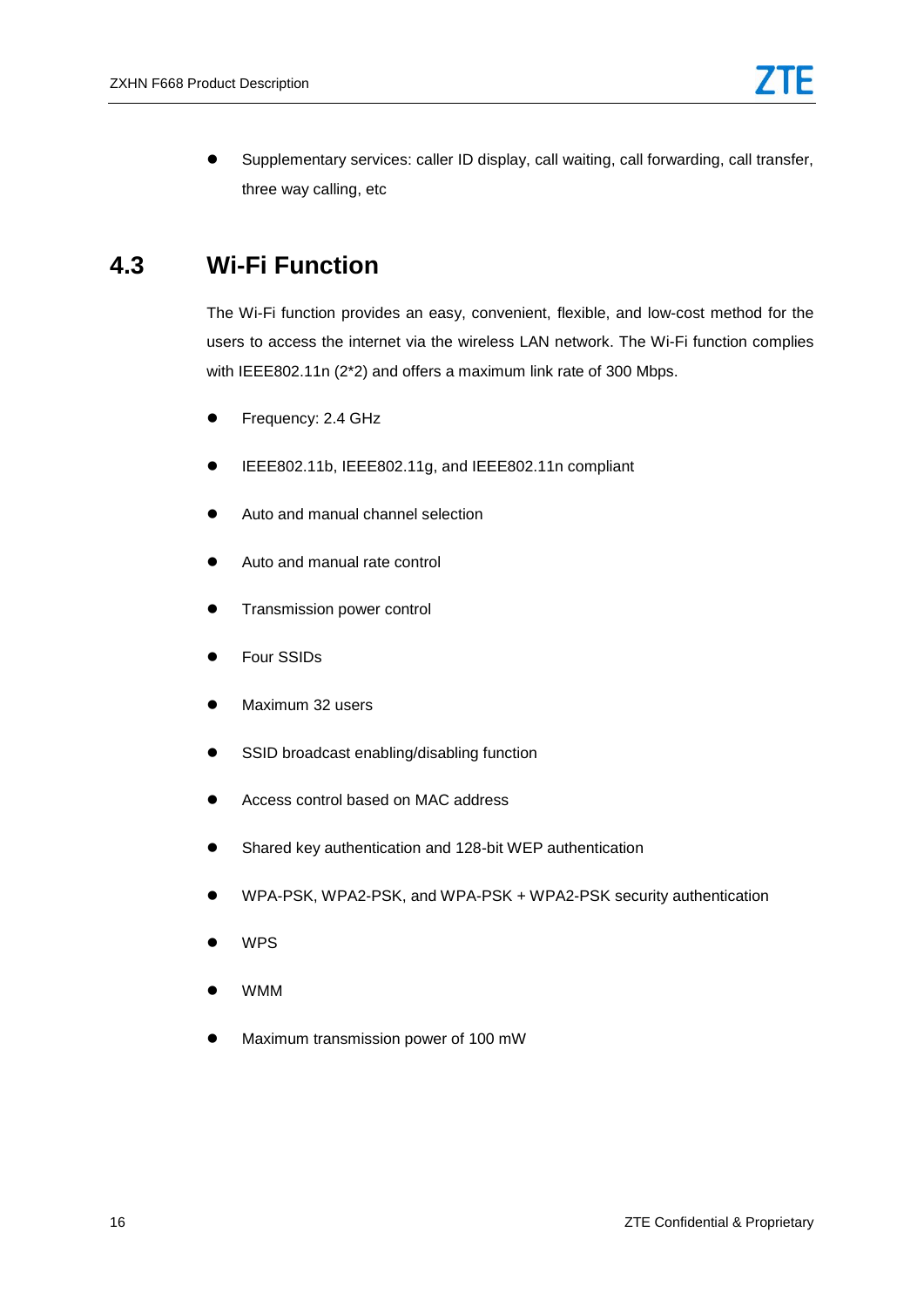Supplementary services: caller ID display, call waiting, call forwarding, call transfer, three way calling, etc

#### <span id="page-17-0"></span>**4.3 Wi-Fi Function**

The Wi-Fi function provides an easy, convenient, flexible, and low-cost method for the users to access the internet via the wireless LAN network. The Wi-Fi function complies with IEEE802.11n (2\*2) and offers a maximum link rate of 300 Mbps.

- **•** Frequency: 2.4 GHz
- IEEE802.11b, IEEE802.11g, and IEEE802.11n compliant
- Auto and manual channel selection
- Auto and manual rate control
- **•** Transmission power control
- Four SSIDs
- Maximum 32 users
- SSID broadcast enabling/disabling function
- Access control based on MAC address
- Shared key authentication and 128-bit WEP authentication
- WPA-PSK, WPA2-PSK, and WPA-PSK + WPA2-PSK security authentication
- WPS
- WMM
- Maximum transmission power of 100 mW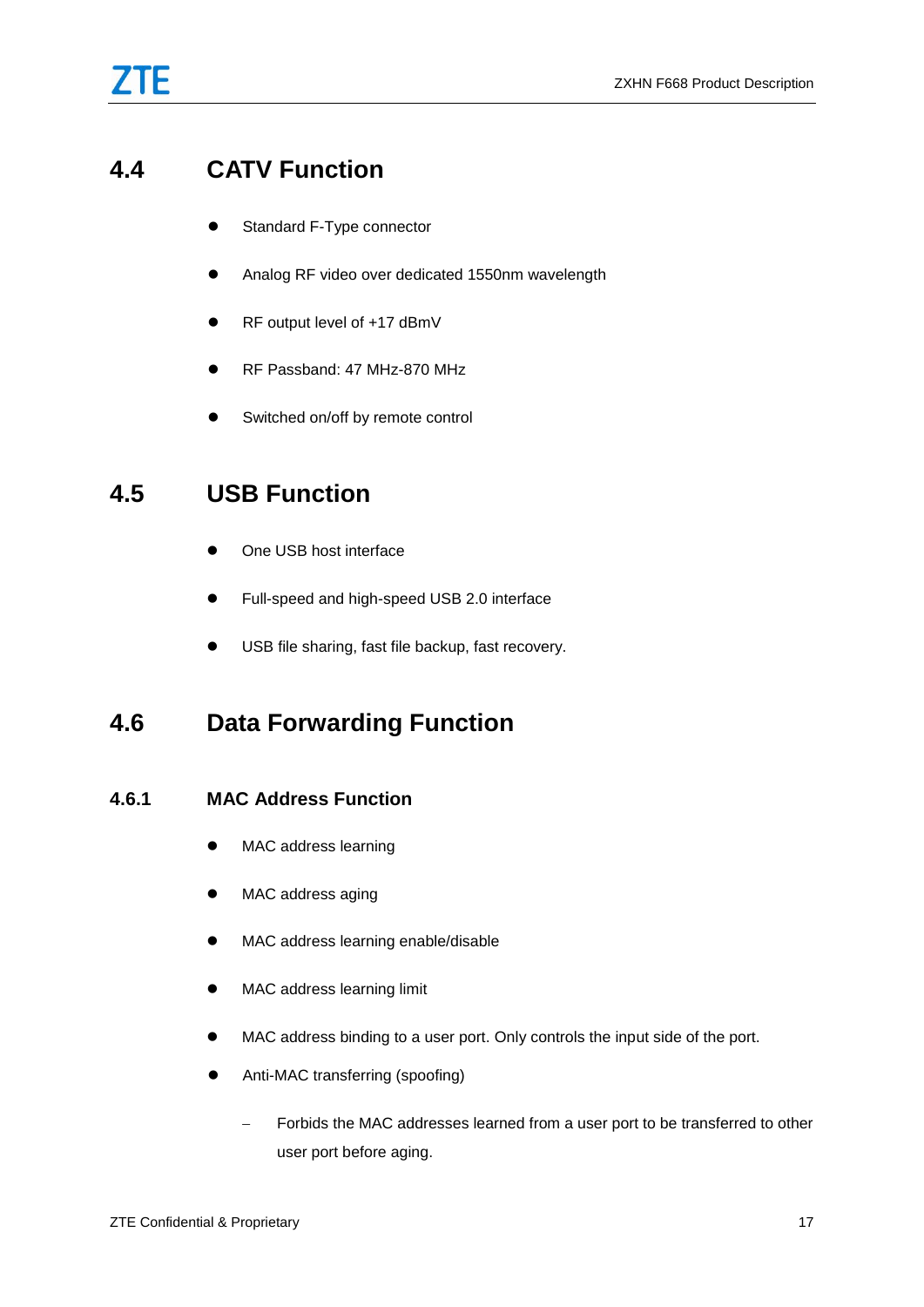### <span id="page-18-0"></span>**4.4 CATV Function**

- **Standard F-Type connector**
- Analog RF video over dedicated 1550nm wavelength
- RF output level of +17 dBmV
- RF Passband: 47 MHz-870 MHz
- Switched on/off by remote control

### <span id="page-18-1"></span>**4.5 USB Function**

- One USB host interface
- Full-speed and high-speed USB 2.0 interface
- USB file sharing, fast file backup, fast recovery.

### <span id="page-18-3"></span><span id="page-18-2"></span>**4.6 Data Forwarding Function**

#### **4.6.1 MAC Address Function**

- $\bullet$  MAC address learning
- MAC address aging
- $\bullet$  MAC address learning enable/disable
- MAC address learning limit
- MAC address binding to a user port. Only controls the input side of the port.
- Anti-MAC transferring (spoofing)
	- Forbids the MAC addresses learned from a user port to be transferred to other user port before aging.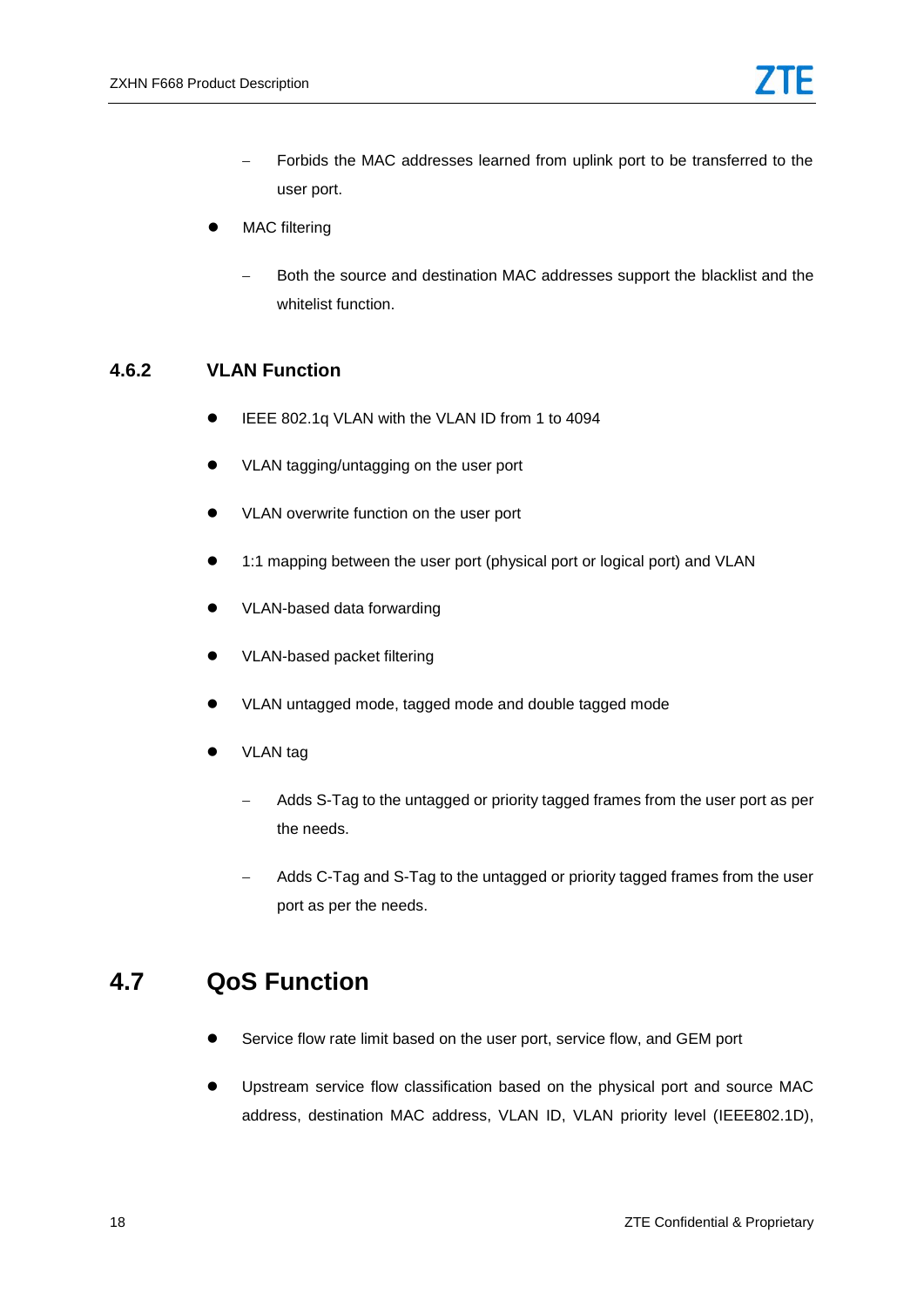- Forbids the MAC addresses learned from uplink port to be transferred to the user port.
- MAC filtering
	- Both the source and destination MAC addresses support the blacklist and the whitelist function.

#### <span id="page-19-0"></span>**4.6.2 VLAN Function**

- IEEE 802.1q VLAN with the VLAN ID from 1 to 4094
- VLAN tagging/untagging on the user port
- VLAN overwrite function on the user port
- 1:1 mapping between the user port (physical port or logical port) and VLAN
- VLAN-based data forwarding
- VLAN-based packet filtering
- VLAN untagged mode, tagged mode and double tagged mode
- VLAN tag
	- Adds S-Tag to the untagged or priority tagged frames from the user port as per the needs.
	- Adds C-Tag and S-Tag to the untagged or priority tagged frames from the user port as per the needs.

#### <span id="page-19-1"></span>**4.7 QoS Function**

- Service flow rate limit based on the user port, service flow, and GEM port
- Upstream service flow classification based on the physical port and source MAC address, destination MAC address, VLAN ID, VLAN priority level (IEEE802.1D),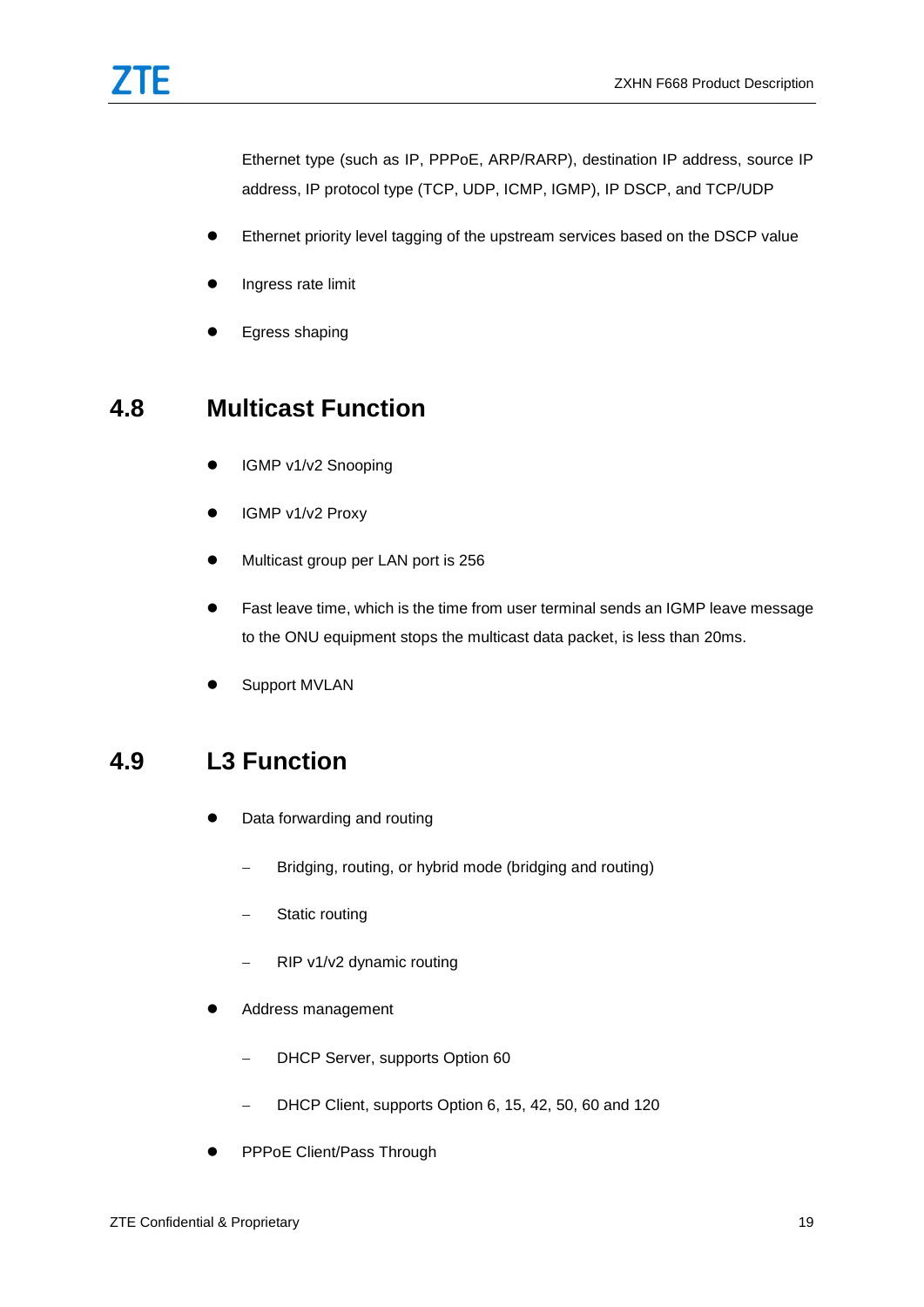Ethernet type (such as IP, PPPoE, ARP/RARP), destination IP address, source IP address, IP protocol type (TCP, UDP, ICMP, IGMP), IP DSCP, and TCP/UDP

- Ethernet priority level tagging of the upstream services based on the DSCP value
- Ingress rate limit
- **•** Egress shaping

#### <span id="page-20-0"></span>**4.8 Multicast Function**

- **IGMP v1/v2 Snooping**
- IGMP v1/v2 Proxy
- $\bullet$  Multicast group per LAN port is 256
- Fast leave time, which is the time from user terminal sends an IGMP leave message to the ONU equipment stops the multicast data packet, is less than 20ms.
- Support MVLAN

### <span id="page-20-1"></span>**4.9 L3 Function**

- Data forwarding and routing
	- Bridging, routing, or hybrid mode (bridging and routing)
	- Static routing
	- RIP v1/v2 dynamic routing
- Address management
	- DHCP Server, supports Option 60
	- DHCP Client, supports Option 6, 15, 42, 50, 60 and 120
- PPPoE Client/Pass Through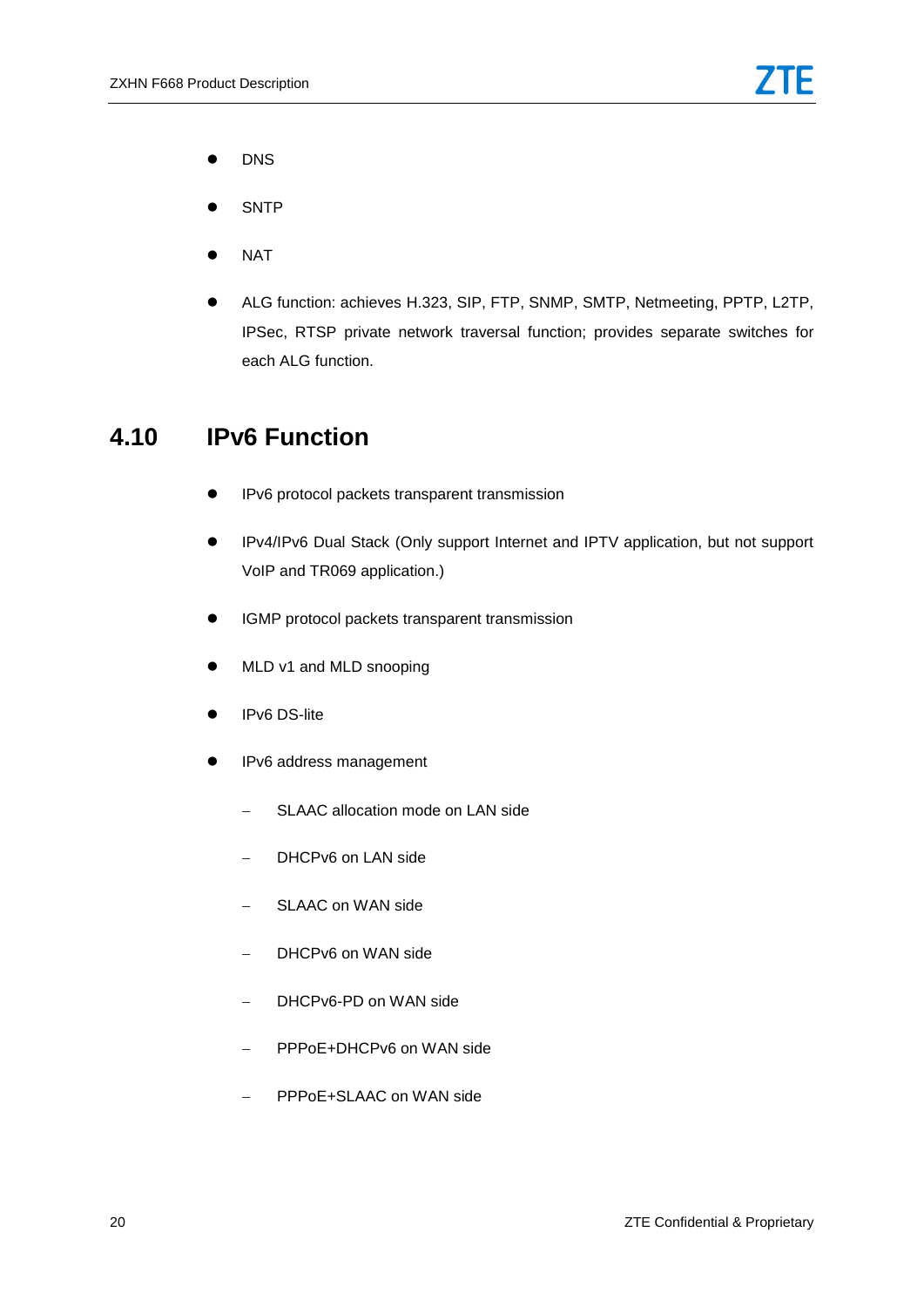- **•** DNS
- **SNTP**
- **NAT**
- ALG function: achieves H.323, SIP, FTP, SNMP, SMTP, Netmeeting, PPTP, L2TP, IPSec, RTSP private network traversal function; provides separate switches for each ALG function.

#### <span id="page-21-0"></span>**4.10 IPv6 Function**

- **•** IPv6 protocol packets transparent transmission
- IPv4/IPv6 Dual Stack (Only support Internet and IPTV application, but not support VoIP and TR069 application.)
- **•** IGMP protocol packets transparent transmission
- MLD v1 and MLD snooping
- IPv6 DS-lite
- **IPv6** address management
	- SLAAC allocation mode on LAN side
	- DHCPv6 on LAN side
	- SLAAC on WAN side
	- DHCPv6 on WAN side
	- DHCPv6-PD on WAN side
	- PPPoE+DHCPv6 on WAN side
	- PPPoE+SLAAC on WAN side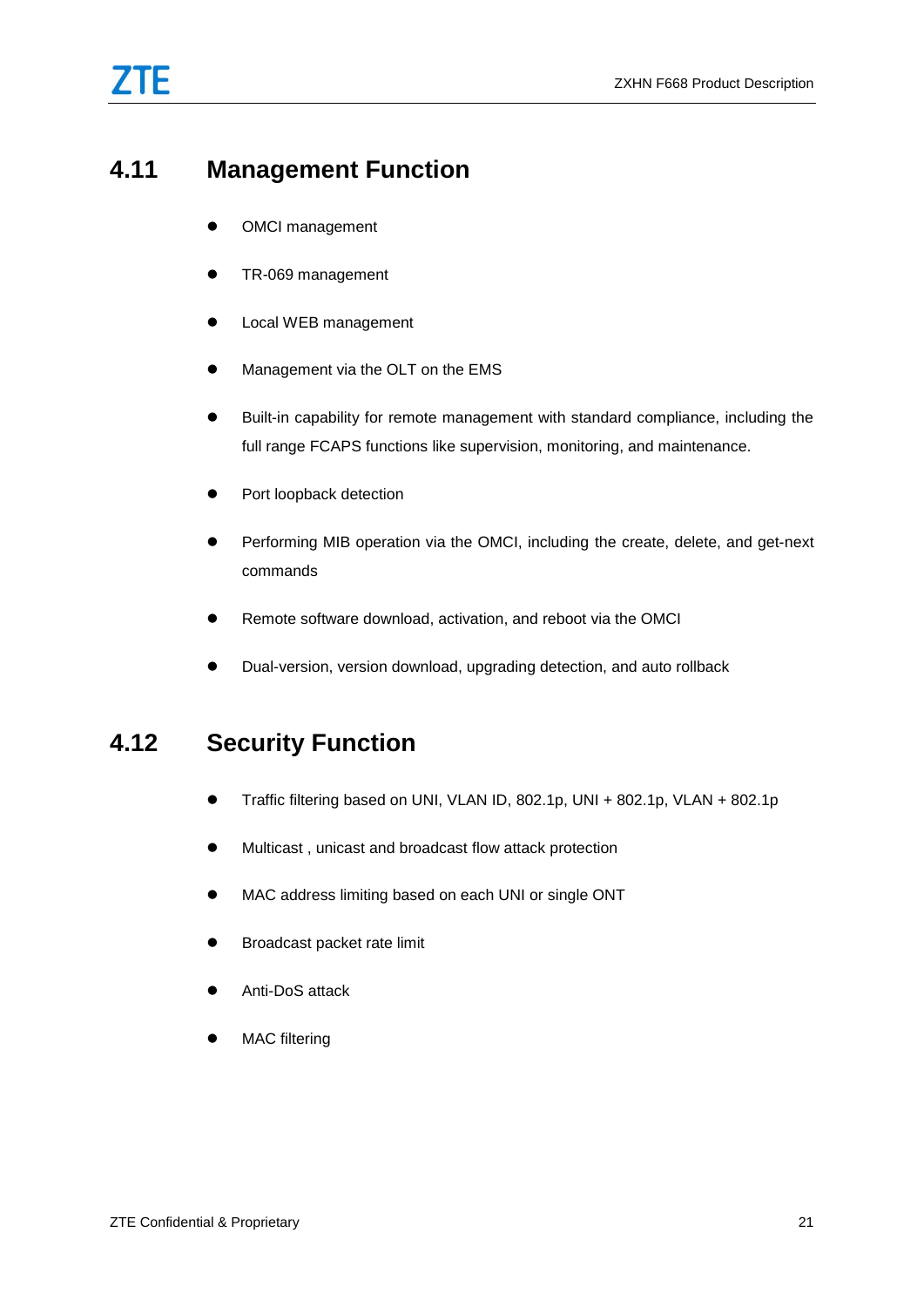### <span id="page-22-0"></span>**4.11 Management Function**

- OMCI management
- TR-069 management
- **•** Local WEB management
- Management via the OLT on the EMS
- Built-in capability for remote management with standard compliance, including the full range FCAPS functions like supervision, monitoring, and maintenance.
- Port loopback detection
- Performing MIB operation via the OMCI, including the create, delete, and get-next commands
- Remote software download, activation, and reboot via the OMCI
- Dual-version, version download, upgrading detection, and auto rollback

### <span id="page-22-1"></span>**4.12 Security Function**

- Traffic filtering based on UNI, VLAN ID, 802.1p, UNI + 802.1p, VLAN + 802.1p
- Multicast , unicast and broadcast flow attack protection
- MAC address limiting based on each UNI or single ONT
- **•** Broadcast packet rate limit
- Anti-DoS attack
- MAC filtering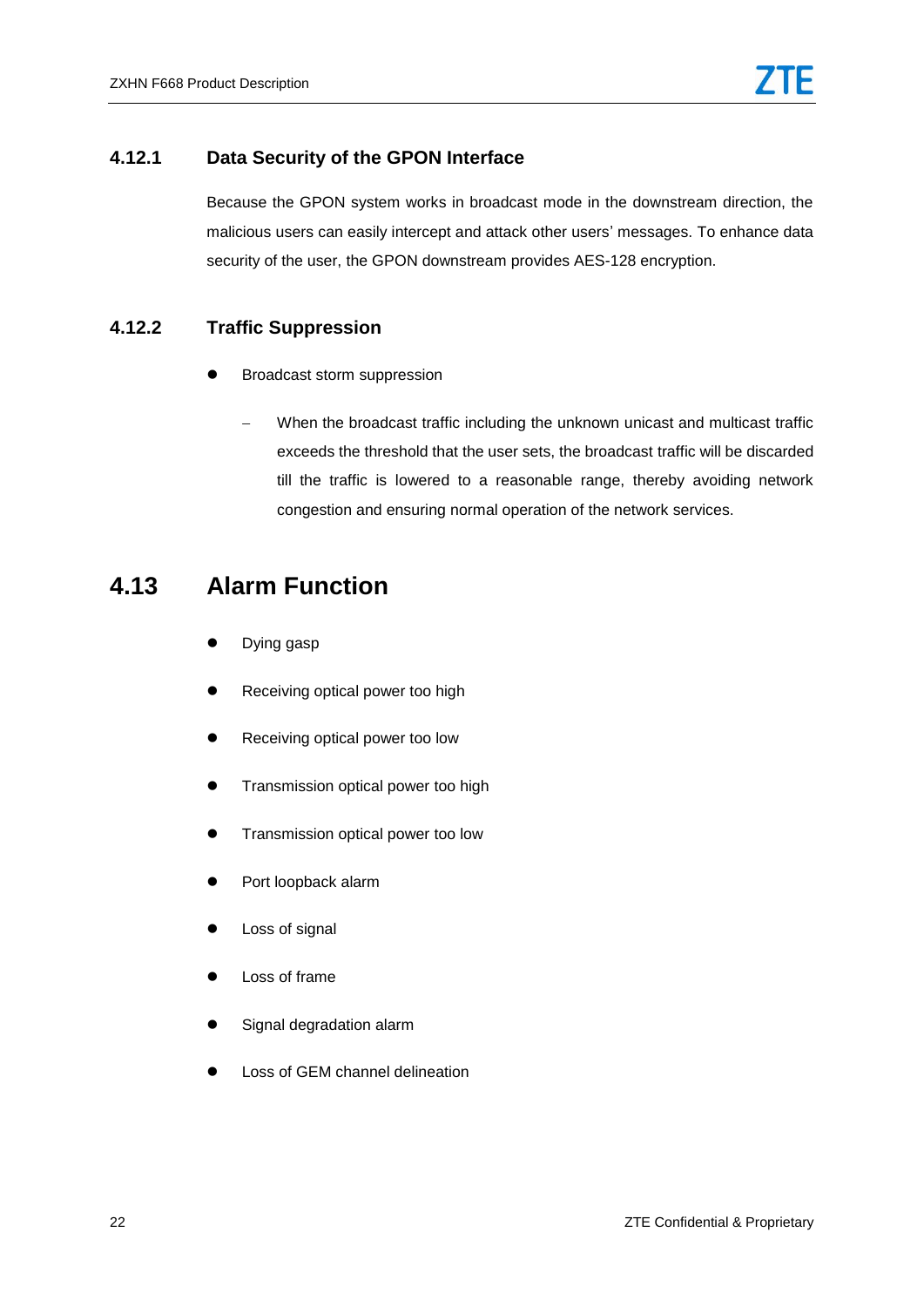#### <span id="page-23-0"></span>**4.12.1 Data Security of the GPON Interface**

Because the GPON system works in broadcast mode in the downstream direction, the malicious users can easily intercept and attack other users' messages. To enhance data security of the user, the GPON downstream provides AES-128 encryption.

#### <span id="page-23-1"></span>**4.12.2 Traffic Suppression**

- Broadcast storm suppression
	- When the broadcast traffic including the unknown unicast and multicast traffic exceeds the threshold that the user sets, the broadcast traffic will be discarded till the traffic is lowered to a reasonable range, thereby avoiding network congestion and ensuring normal operation of the network services.

#### <span id="page-23-2"></span>**4.13 Alarm Function**

- Dying gasp
- Receiving optical power too high
- Receiving optical power too low
- **•** Transmission optical power too high
- Transmission optical power too low
- Port loopback alarm
- Loss of signal
- Loss of frame
- Signal degradation alarm
- Loss of GEM channel delineation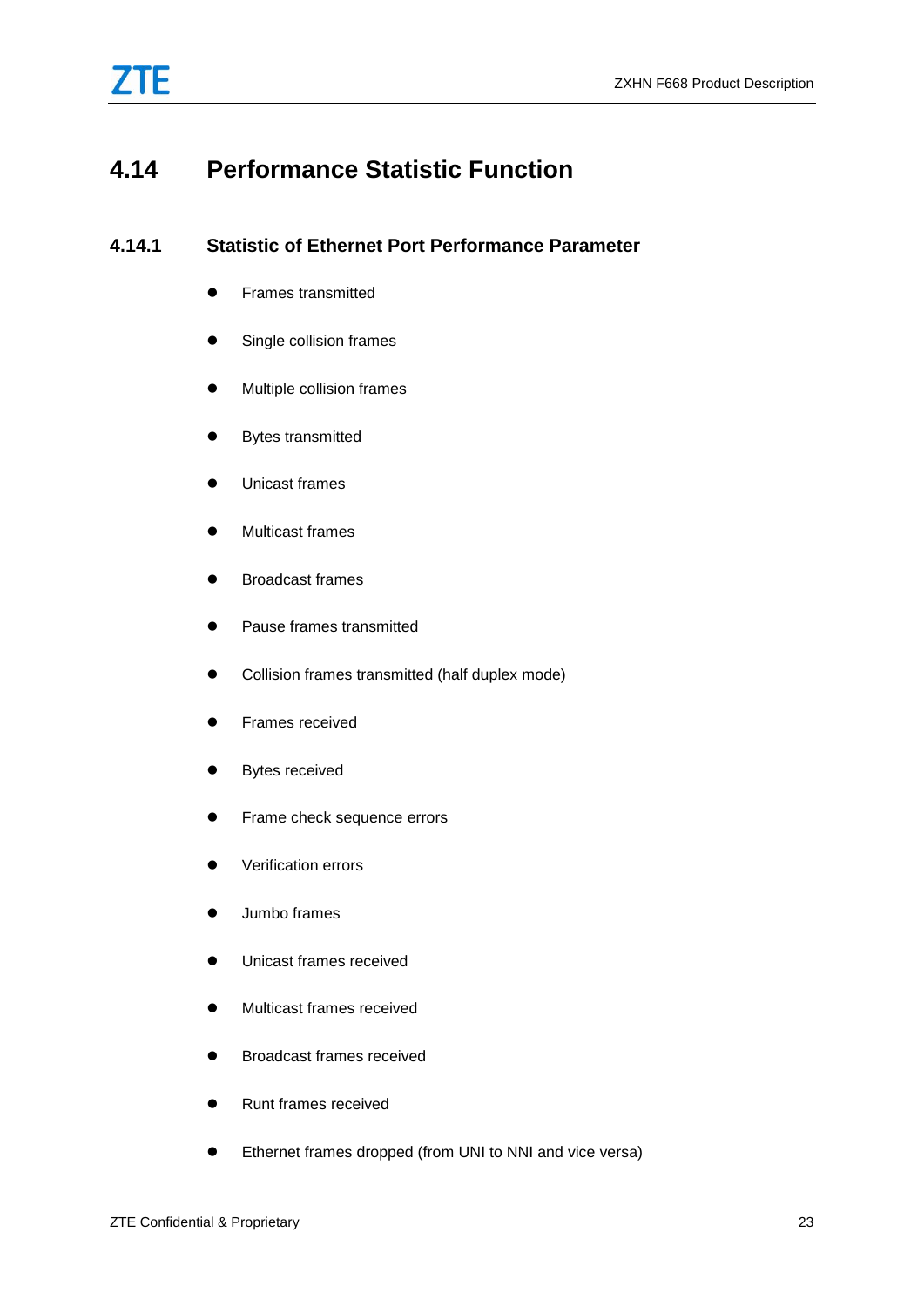

### <span id="page-24-1"></span><span id="page-24-0"></span>**4.14 Performance Statistic Function**

#### **4.14.1 Statistic of Ethernet Port Performance Parameter**

- **•** Frames transmitted
- **•** Single collision frames
- Multiple collision frames
- **•** Bytes transmitted
- Unicast frames
- Multicast frames
- **•** Broadcast frames
- Pause frames transmitted
- Collision frames transmitted (half duplex mode)
- **•** Frames received
- **•** Bytes received
- **•** Frame check sequence errors
- **•** Verification errors
- $\bullet$  Jumbo frames
- **Unicast frames received**
- Multicast frames received
- **•** Broadcast frames received
- Runt frames received
- Ethernet frames dropped (from UNI to NNI and vice versa)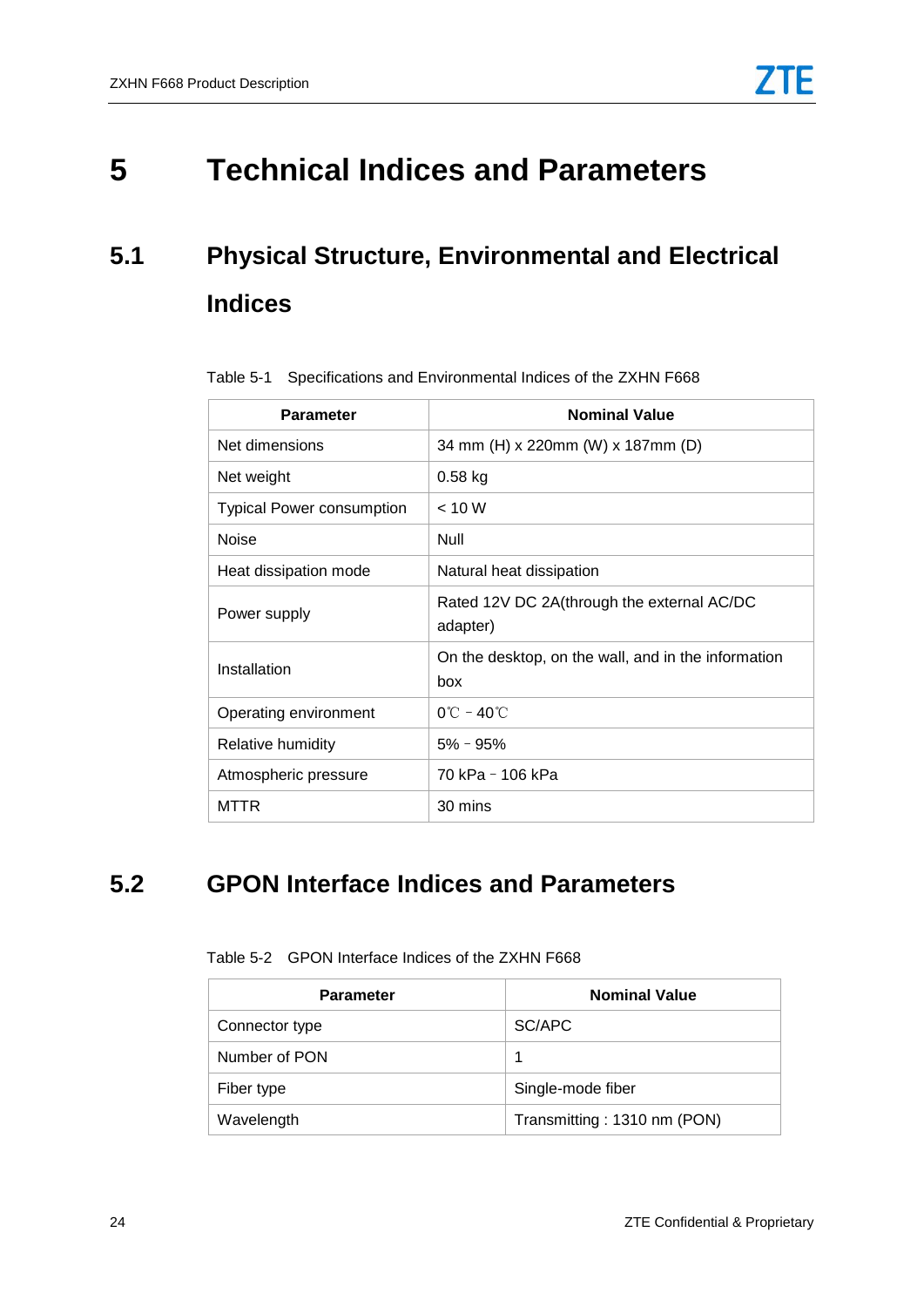# <span id="page-25-1"></span><span id="page-25-0"></span>**5 Technical Indices and Parameters**

# <span id="page-25-3"></span>**5.1 Physical Structure, Environmental and Electrical Indices**

| <b>Parameter</b>                 | <b>Nominal Value</b>                                       |
|----------------------------------|------------------------------------------------------------|
| Net dimensions                   | 34 mm (H) x 220mm (W) x 187mm (D)                          |
| Net weight                       | $0.58$ kg                                                  |
| <b>Typical Power consumption</b> | < 10 W                                                     |
| Noise                            | Null                                                       |
| Heat dissipation mode            | Natural heat dissipation                                   |
| Power supply                     | Rated 12V DC 2A(through the external AC/DC<br>adapter)     |
| Installation                     | On the desktop, on the wall, and in the information<br>box |
| Operating environment            | $0^{\circ}$ C – 40 $^{\circ}$ C                            |
| Relative humidity                | $5\% - 95\%$                                               |
| Atmospheric pressure             | 70 kPa - 106 kPa                                           |
| MTTR                             | 30 mins                                                    |

Table 5-1 Specifications and Environmental Indices of the ZXHN F668

### <span id="page-25-4"></span><span id="page-25-2"></span>**5.2 GPON Interface Indices and Parameters**

| <b>Parameter</b> | <b>Nominal Value</b>        |
|------------------|-----------------------------|
| Connector type   | SC/APC                      |
| Number of PON    | 1                           |
| Fiber type       | Single-mode fiber           |
| Wavelength       | Transmitting: 1310 nm (PON) |

Table 5-2 GPON Interface Indices of the ZXHN F668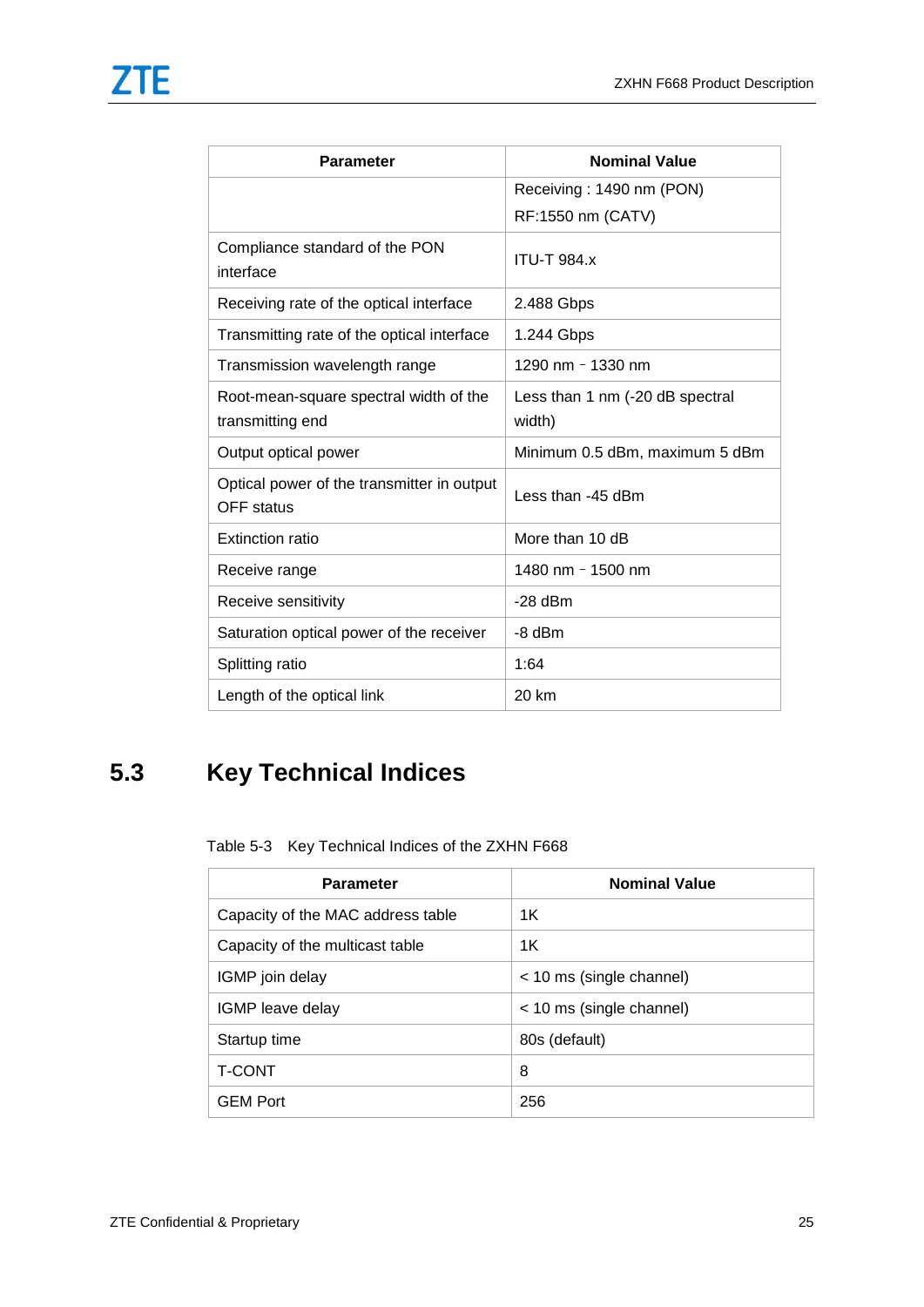| <b>Parameter</b>                                                | <b>Nominal Value</b>                      |
|-----------------------------------------------------------------|-------------------------------------------|
|                                                                 | Receiving: 1490 nm (PON)                  |
|                                                                 | RF:1550 nm (CATV)                         |
| Compliance standard of the PON<br>interface                     | <b>ITU-T 984.x</b>                        |
| Receiving rate of the optical interface                         | 2.488 Gbps                                |
| Transmitting rate of the optical interface                      | 1.244 Gbps                                |
| Transmission wavelength range                                   | 1290 nm - 1330 nm                         |
| Root-mean-square spectral width of the<br>transmitting end      | Less than 1 nm (-20 dB spectral<br>width) |
| Output optical power                                            | Minimum 0.5 dBm, maximum 5 dBm            |
| Optical power of the transmitter in output<br><b>OFF</b> status | Less than -45 dBm                         |
| <b>Extinction ratio</b>                                         | More than 10 dB                           |
| Receive range                                                   | 1480 nm - 1500 nm                         |
| Receive sensitivity                                             | $-28$ dBm                                 |
| Saturation optical power of the receiver                        | $-8$ dBm                                  |
| Splitting ratio                                                 | 1:64                                      |
| Length of the optical link                                      | 20 km                                     |

### <span id="page-26-1"></span><span id="page-26-0"></span>**5.3 Key Technical Indices**

Table 5-3 Key Technical Indices of the ZXHN F668

| <b>Parameter</b>                  | <b>Nominal Value</b>     |
|-----------------------------------|--------------------------|
| Capacity of the MAC address table | 1K                       |
| Capacity of the multicast table   | 1K                       |
| IGMP join delay                   | < 10 ms (single channel) |
| IGMP leave delay                  | < 10 ms (single channel) |
| Startup time                      | 80s (default)            |
| <b>T-CONT</b>                     | 8                        |
| <b>GEM Port</b>                   | 256                      |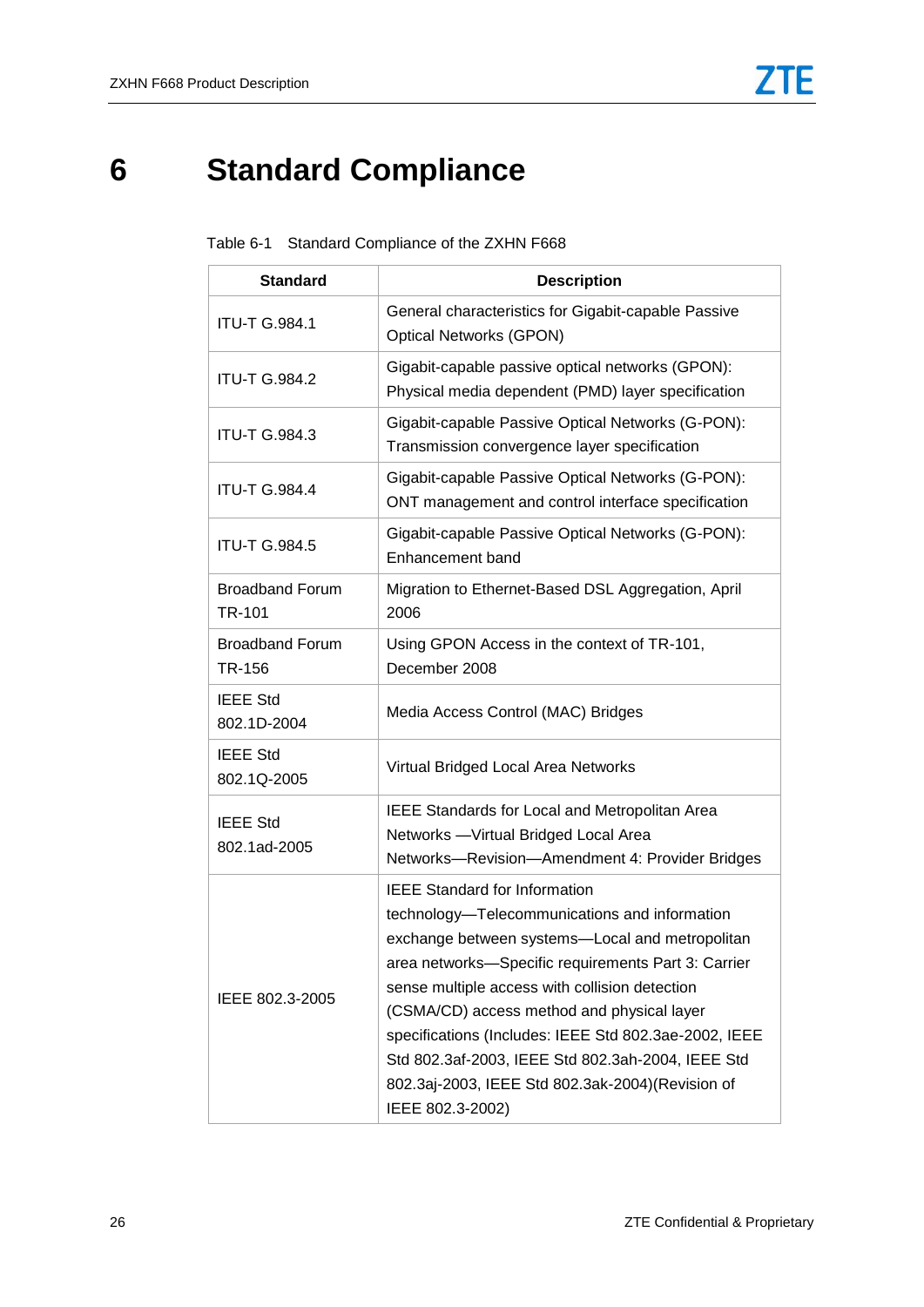# <span id="page-27-1"></span><span id="page-27-0"></span>**6 Standard Compliance**

| <b>Standard</b>                         | <b>Description</b>                                                                                                                                                                                                                                                                                                                                                                                                                                                                    |
|-----------------------------------------|---------------------------------------------------------------------------------------------------------------------------------------------------------------------------------------------------------------------------------------------------------------------------------------------------------------------------------------------------------------------------------------------------------------------------------------------------------------------------------------|
| <b>ITU-T G.984.1</b>                    | General characteristics for Gigabit-capable Passive<br><b>Optical Networks (GPON)</b>                                                                                                                                                                                                                                                                                                                                                                                                 |
| <b>ITU-T G.984.2</b>                    | Gigabit-capable passive optical networks (GPON):<br>Physical media dependent (PMD) layer specification                                                                                                                                                                                                                                                                                                                                                                                |
| <b>ITU-T G.984.3</b>                    | Gigabit-capable Passive Optical Networks (G-PON):<br>Transmission convergence layer specification                                                                                                                                                                                                                                                                                                                                                                                     |
| <b>ITU-T G.984.4</b>                    | Gigabit-capable Passive Optical Networks (G-PON):<br>ONT management and control interface specification                                                                                                                                                                                                                                                                                                                                                                               |
| <b>ITU-T G.984.5</b>                    | Gigabit-capable Passive Optical Networks (G-PON):<br>Enhancement band                                                                                                                                                                                                                                                                                                                                                                                                                 |
| <b>Broadband Forum</b><br><b>TR-101</b> | Migration to Ethernet-Based DSL Aggregation, April<br>2006                                                                                                                                                                                                                                                                                                                                                                                                                            |
| <b>Broadband Forum</b><br>TR-156        | Using GPON Access in the context of TR-101,<br>December 2008                                                                                                                                                                                                                                                                                                                                                                                                                          |
| <b>IEEE Std</b><br>802.1D-2004          | Media Access Control (MAC) Bridges                                                                                                                                                                                                                                                                                                                                                                                                                                                    |
| <b>IEEE Std</b><br>802.1Q-2005          | Virtual Bridged Local Area Networks                                                                                                                                                                                                                                                                                                                                                                                                                                                   |
| <b>IEEE Std</b><br>802.1ad-2005         | IEEE Standards for Local and Metropolitan Area<br>Networks - Virtual Bridged Local Area<br>Networks-Revision-Amendment 4: Provider Bridges                                                                                                                                                                                                                                                                                                                                            |
| IEEE 802.3-2005                         | <b>IEEE Standard for Information</b><br>technology-Telecommunications and information<br>exchange between systems-Local and metropolitan<br>area networks-Specific requirements Part 3: Carrier<br>sense multiple access with collision detection<br>(CSMA/CD) access method and physical layer<br>specifications (Includes: IEEE Std 802.3ae-2002, IEEE<br>Std 802.3af-2003, IEEE Std 802.3ah-2004, IEEE Std<br>802.3aj-2003, IEEE Std 802.3ak-2004)(Revision of<br>IEEE 802.3-2002) |

|  |  | Table 6-1 Standard Compliance of the ZXHN F668 |  |  |  |
|--|--|------------------------------------------------|--|--|--|
|--|--|------------------------------------------------|--|--|--|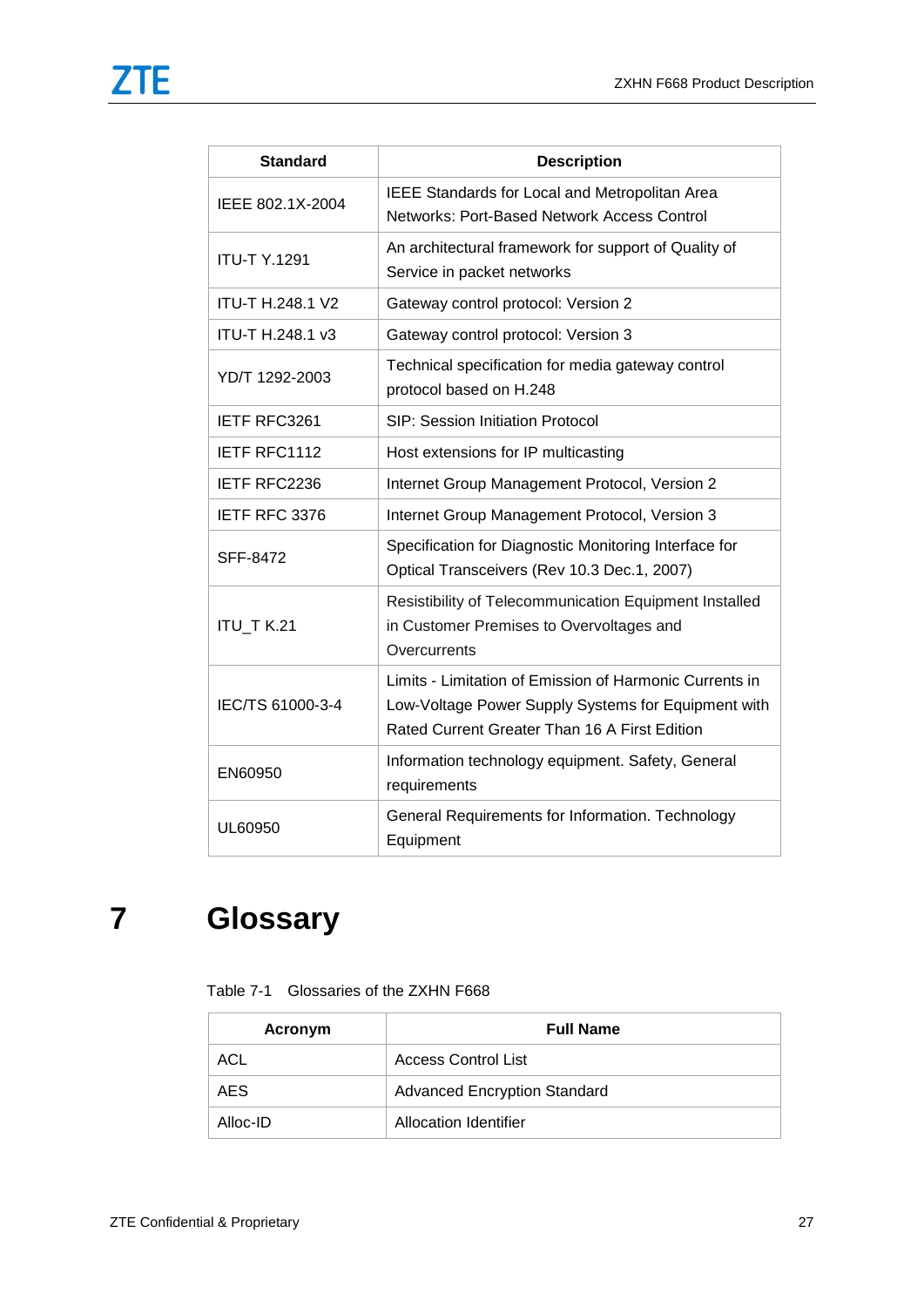| <b>Standard</b>         | <b>Description</b>                                                                                                                                              |
|-------------------------|-----------------------------------------------------------------------------------------------------------------------------------------------------------------|
| IEEE 802.1X-2004        | <b>IEEE Standards for Local and Metropolitan Area</b><br>Networks: Port-Based Network Access Control                                                            |
| <b>ITU-T Y.1291</b>     | An architectural framework for support of Quality of<br>Service in packet networks                                                                              |
| <b>ITU-T H.248.1 V2</b> | Gateway control protocol: Version 2                                                                                                                             |
| ITU-T H.248.1 v3        | Gateway control protocol: Version 3                                                                                                                             |
| YD/T 1292-2003          | Technical specification for media gateway control<br>protocol based on H.248                                                                                    |
| IETF RFC3261            | <b>SIP: Session Initiation Protocol</b>                                                                                                                         |
| IETF RFC1112            | Host extensions for IP multicasting                                                                                                                             |
| IETF RFC2236            | Internet Group Management Protocol, Version 2                                                                                                                   |
| IETF RFC 3376           | Internet Group Management Protocol, Version 3                                                                                                                   |
| SFF-8472                | Specification for Diagnostic Monitoring Interface for<br>Optical Transceivers (Rev 10.3 Dec.1, 2007)                                                            |
| ITU_T K.21              | Resistibility of Telecommunication Equipment Installed<br>in Customer Premises to Overvoltages and<br>Overcurrents                                              |
| IEC/TS 61000-3-4        | Limits - Limitation of Emission of Harmonic Currents in<br>Low-Voltage Power Supply Systems for Equipment with<br>Rated Current Greater Than 16 A First Edition |
| EN60950                 | Information technology equipment. Safety, General<br>requirements                                                                                               |
| UL60950                 | General Requirements for Information. Technology<br>Equipment                                                                                                   |

# <span id="page-28-1"></span><span id="page-28-0"></span>**7 Glossary**

| Table 7-1 Glossaries of the ZXHN F668 |  |  |
|---------------------------------------|--|--|
|                                       |  |  |

| Acronym    | <b>Full Name</b>                    |
|------------|-------------------------------------|
| ACL        | Access Control List                 |
| <b>AES</b> | <b>Advanced Encryption Standard</b> |
| Alloc-ID   | Allocation Identifier               |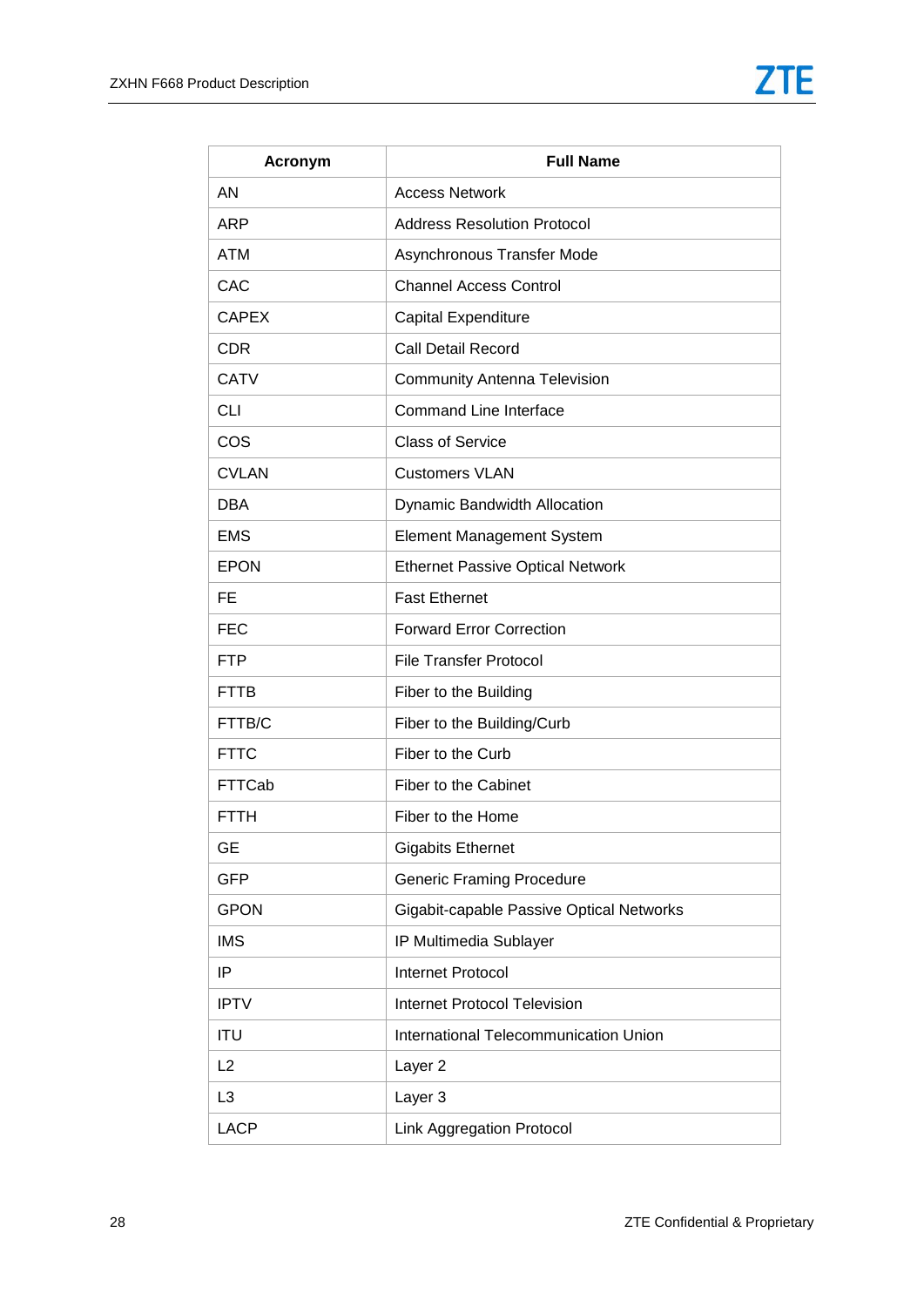| Acronym        | <b>Full Name</b>                         |
|----------------|------------------------------------------|
| AN             | <b>Access Network</b>                    |
| <b>ARP</b>     | <b>Address Resolution Protocol</b>       |
| <b>ATM</b>     | Asynchronous Transfer Mode               |
| CAC            | <b>Channel Access Control</b>            |
| <b>CAPEX</b>   | Capital Expenditure                      |
| <b>CDR</b>     | Call Detail Record                       |
| <b>CATV</b>    | <b>Community Antenna Television</b>      |
| <b>CLI</b>     | <b>Command Line Interface</b>            |
| COS            | <b>Class of Service</b>                  |
| <b>CVLAN</b>   | <b>Customers VLAN</b>                    |
| <b>DBA</b>     | Dynamic Bandwidth Allocation             |
| <b>EMS</b>     | <b>Element Management System</b>         |
| <b>EPON</b>    | <b>Ethernet Passive Optical Network</b>  |
| <b>FE</b>      | <b>Fast Ethernet</b>                     |
| <b>FEC</b>     | <b>Forward Error Correction</b>          |
| <b>FTP</b>     | <b>File Transfer Protocol</b>            |
| <b>FTTB</b>    | Fiber to the Building                    |
| FTTB/C         | Fiber to the Building/Curb               |
| <b>FTTC</b>    | Fiber to the Curb                        |
| <b>FTTCab</b>  | Fiber to the Cabinet                     |
| FTTH           | Fiber to the Home                        |
| GE             | <b>Gigabits Ethernet</b>                 |
| <b>GFP</b>     | <b>Generic Framing Procedure</b>         |
| <b>GPON</b>    | Gigabit-capable Passive Optical Networks |
| <b>IMS</b>     | IP Multimedia Sublayer                   |
| IP             | <b>Internet Protocol</b>                 |
| <b>IPTV</b>    | <b>Internet Protocol Television</b>      |
| <b>ITU</b>     | International Telecommunication Union    |
| L2             | Layer <sub>2</sub>                       |
| L <sub>3</sub> | Layer 3                                  |
| <b>LACP</b>    | Link Aggregation Protocol                |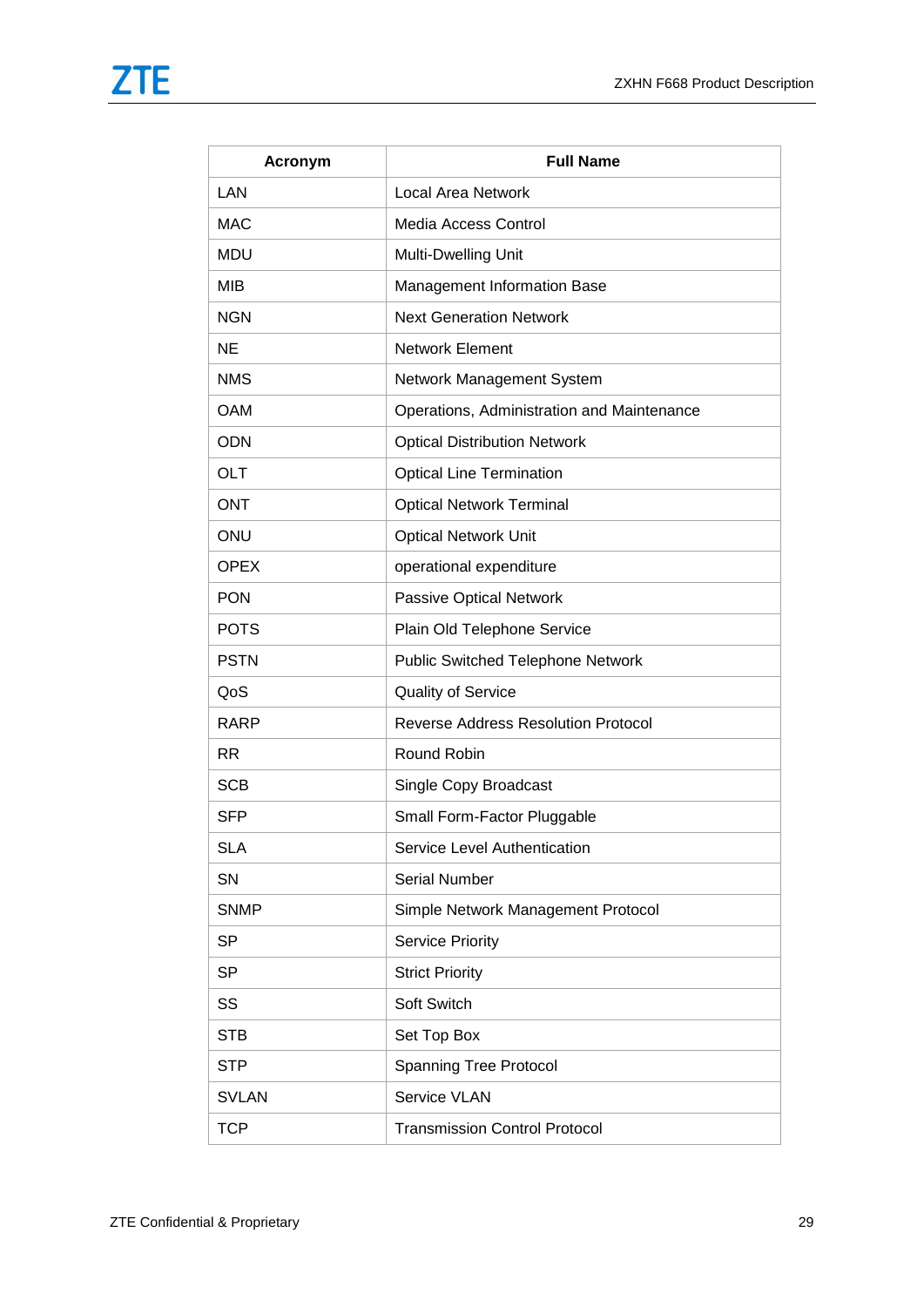| <b>Acronym</b> | <b>Full Name</b>                           |
|----------------|--------------------------------------------|
| LAN            | <b>Local Area Network</b>                  |
| <b>MAC</b>     | Media Access Control                       |
| <b>MDU</b>     | Multi-Dwelling Unit                        |
| MIB            | Management Information Base                |
| <b>NGN</b>     | <b>Next Generation Network</b>             |
| <b>NE</b>      | <b>Network Element</b>                     |
| <b>NMS</b>     | Network Management System                  |
| <b>OAM</b>     | Operations, Administration and Maintenance |
| <b>ODN</b>     | <b>Optical Distribution Network</b>        |
| OLT            | <b>Optical Line Termination</b>            |
| <b>ONT</b>     | <b>Optical Network Terminal</b>            |
| ONU            | <b>Optical Network Unit</b>                |
| <b>OPEX</b>    | operational expenditure                    |
| <b>PON</b>     | Passive Optical Network                    |
| <b>POTS</b>    | Plain Old Telephone Service                |
| <b>PSTN</b>    | <b>Public Switched Telephone Network</b>   |
| QoS            | <b>Quality of Service</b>                  |
| <b>RARP</b>    | <b>Reverse Address Resolution Protocol</b> |
| <b>RR</b>      | Round Robin                                |
| <b>SCB</b>     | Single Copy Broadcast                      |
| <b>SFP</b>     | Small Form-Factor Pluggable                |
| <b>SLA</b>     | Service Level Authentication               |
| SN             | <b>Serial Number</b>                       |
| <b>SNMP</b>    | Simple Network Management Protocol         |
| <b>SP</b>      | <b>Service Priority</b>                    |
| <b>SP</b>      | <b>Strict Priority</b>                     |
| SS             | Soft Switch                                |
| <b>STB</b>     | Set Top Box                                |
| <b>STP</b>     | <b>Spanning Tree Protocol</b>              |
| <b>SVLAN</b>   | Service VLAN                               |
| <b>TCP</b>     | <b>Transmission Control Protocol</b>       |